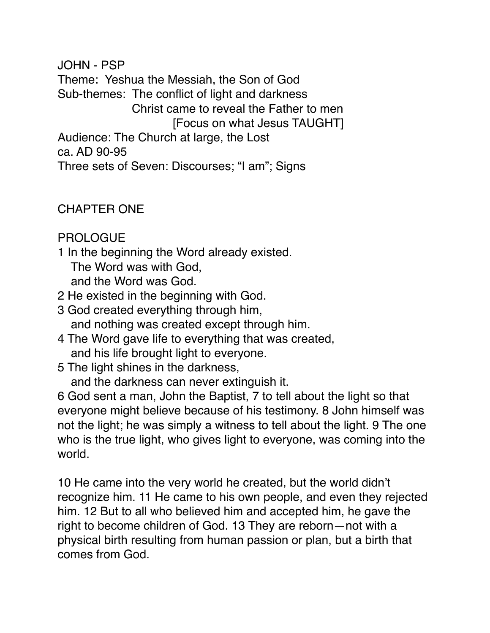JOHN - PSP Theme: Yeshua the Messiah, the Son of God Sub-themes: The conflict of light and darkness Christ came to reveal the Father to men [Focus on what Jesus TAUGHT] Audience: The Church at large, the Lost ca. AD 90-95 Three sets of Seven: Discourses; "I am"; Signs

CHAPTER ONE

PROLOGUE

- 1 In the beginning the Word already existed. The Word was with God, and the Word was God.
- 2 He existed in the beginning with God.
- 3 God created everything through him, and nothing was created except through him.
- 4 The Word gave life to everything that was created, and his life brought light to everyone.
- 5 The light shines in the darkness,
	- and the darkness can never extinguish it.

6 God sent a man, John the Baptist, 7 to tell about the light so that everyone might believe because of his testimony. 8 John himself was not the light; he was simply a witness to tell about the light. 9 The one who is the true light, who gives light to everyone, was coming into the world.

10 He came into the very world he created, but the world didn't recognize him. 11 He came to his own people, and even they rejected him. 12 But to all who believed him and accepted him, he gave the right to become children of God. 13 They are reborn—not with a physical birth resulting from human passion or plan, but a birth that comes from God.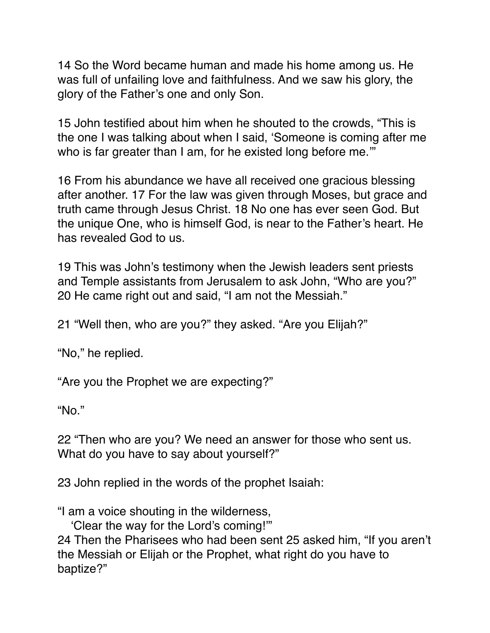14 So the Word became human and made his home among us. He was full of unfailing love and faithfulness. And we saw his glory, the glory of the Father's one and only Son.

15 John testified about him when he shouted to the crowds, "This is the one I was talking about when I said, 'Someone is coming after me who is far greater than I am, for he existed long before me."

16 From his abundance we have all received one gracious blessing after another. 17 For the law was given through Moses, but grace and truth came through Jesus Christ. 18 No one has ever seen God. But the unique One, who is himself God, is near to the Father's heart. He has revealed God to us.

19 This was John's testimony when the Jewish leaders sent priests and Temple assistants from Jerusalem to ask John, "Who are you?" 20 He came right out and said, "I am not the Messiah."

21 "Well then, who are you?" they asked. "Are you Elijah?"

"No," he replied.

"Are you the Prophet we are expecting?"

"No."

22 "Then who are you? We need an answer for those who sent us. What do you have to say about yourself?"

23 John replied in the words of the prophet Isaiah:

"I am a voice shouting in the wilderness,

'Clear the way for the Lord's coming!'"

24 Then the Pharisees who had been sent 25 asked him, "If you aren't the Messiah or Elijah or the Prophet, what right do you have to baptize?"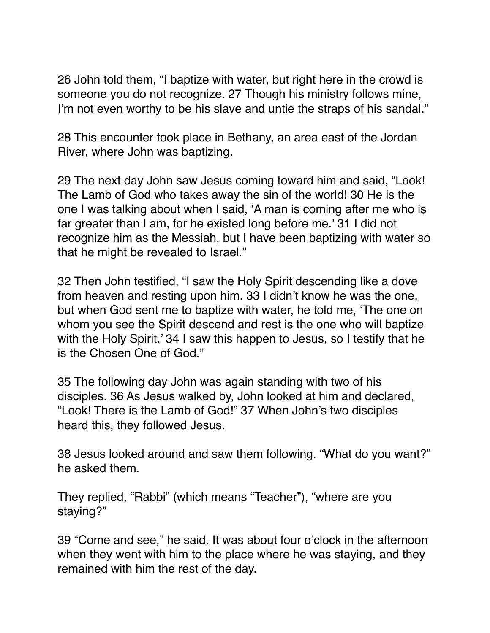26 John told them, "I baptize with water, but right here in the crowd is someone you do not recognize. 27 Though his ministry follows mine, I'm not even worthy to be his slave and untie the straps of his sandal."

28 This encounter took place in Bethany, an area east of the Jordan River, where John was baptizing.

29 The next day John saw Jesus coming toward him and said, "Look! The Lamb of God who takes away the sin of the world! 30 He is the one I was talking about when I said, 'A man is coming after me who is far greater than I am, for he existed long before me.' 31 I did not recognize him as the Messiah, but I have been baptizing with water so that he might be revealed to Israel."

32 Then John testified, "I saw the Holy Spirit descending like a dove from heaven and resting upon him. 33 I didn't know he was the one, but when God sent me to baptize with water, he told me, 'The one on whom you see the Spirit descend and rest is the one who will baptize with the Holy Spirit.' 34 I saw this happen to Jesus, so I testify that he is the Chosen One of God."

35 The following day John was again standing with two of his disciples. 36 As Jesus walked by, John looked at him and declared, "Look! There is the Lamb of God!" 37 When John's two disciples heard this, they followed Jesus.

38 Jesus looked around and saw them following. "What do you want?" he asked them.

They replied, "Rabbi" (which means "Teacher"), "where are you staying?"

39 "Come and see," he said. It was about four o'clock in the afternoon when they went with him to the place where he was staying, and they remained with him the rest of the day.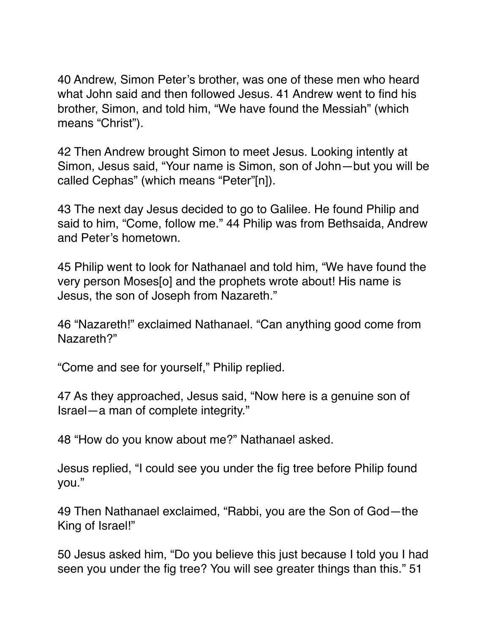40 Andrew, Simon Peter's brother, was one of these men who heard what John said and then followed Jesus. 41 Andrew went to find his brother, Simon, and told him, "We have found the Messiah" (which means "Christ").

42 Then Andrew brought Simon to meet Jesus. Looking intently at Simon, Jesus said, "Your name is Simon, son of John—but you will be called Cephas" (which means "Peter"[n]).

43 The next day Jesus decided to go to Galilee. He found Philip and said to him, "Come, follow me." 44 Philip was from Bethsaida, Andrew and Peter's hometown.

45 Philip went to look for Nathanael and told him, "We have found the very person Moses[o] and the prophets wrote about! His name is Jesus, the son of Joseph from Nazareth."

46 "Nazareth!" exclaimed Nathanael. "Can anything good come from Nazareth?"

"Come and see for yourself," Philip replied.

47 As they approached, Jesus said, "Now here is a genuine son of Israel—a man of complete integrity."

48 "How do you know about me?" Nathanael asked.

Jesus replied, "I could see you under the fig tree before Philip found you."

49 Then Nathanael exclaimed, "Rabbi, you are the Son of God—the King of Israel!"

50 Jesus asked him, "Do you believe this just because I told you I had seen you under the fig tree? You will see greater things than this." 51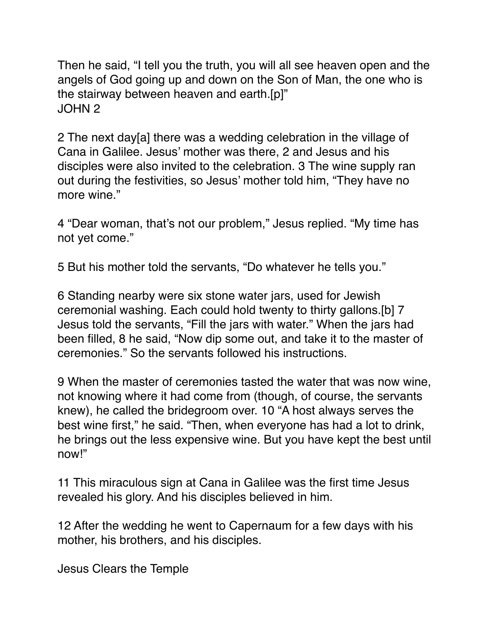Then he said, "I tell you the truth, you will all see heaven open and the angels of God going up and down on the Son of Man, the one who is the stairway between heaven and earth.[p]" JOHN 2

2 The next day[a] there was a wedding celebration in the village of Cana in Galilee. Jesus' mother was there, 2 and Jesus and his disciples were also invited to the celebration. 3 The wine supply ran out during the festivities, so Jesus' mother told him, "They have no more wine."

4 "Dear woman, that's not our problem," Jesus replied. "My time has not yet come."

5 But his mother told the servants, "Do whatever he tells you."

6 Standing nearby were six stone water jars, used for Jewish ceremonial washing. Each could hold twenty to thirty gallons.[b] 7 Jesus told the servants, "Fill the jars with water." When the jars had been filled, 8 he said, "Now dip some out, and take it to the master of ceremonies." So the servants followed his instructions.

9 When the master of ceremonies tasted the water that was now wine, not knowing where it had come from (though, of course, the servants knew), he called the bridegroom over. 10 "A host always serves the best wine first," he said. "Then, when everyone has had a lot to drink, he brings out the less expensive wine. But you have kept the best until now!"

11 This miraculous sign at Cana in Galilee was the first time Jesus revealed his glory. And his disciples believed in him.

12 After the wedding he went to Capernaum for a few days with his mother, his brothers, and his disciples.

Jesus Clears the Temple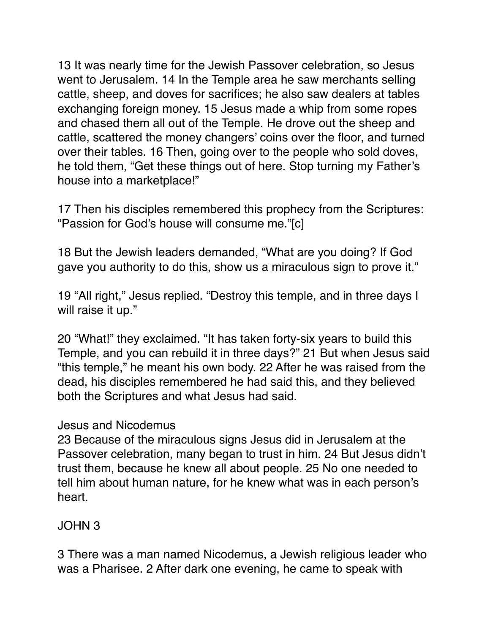13 It was nearly time for the Jewish Passover celebration, so Jesus went to Jerusalem. 14 In the Temple area he saw merchants selling cattle, sheep, and doves for sacrifices; he also saw dealers at tables exchanging foreign money. 15 Jesus made a whip from some ropes and chased them all out of the Temple. He drove out the sheep and cattle, scattered the money changers' coins over the floor, and turned over their tables. 16 Then, going over to the people who sold doves, he told them, "Get these things out of here. Stop turning my Father's house into a marketplace!"

17 Then his disciples remembered this prophecy from the Scriptures: "Passion for God's house will consume me."[c]

18 But the Jewish leaders demanded, "What are you doing? If God gave you authority to do this, show us a miraculous sign to prove it."

19 "All right," Jesus replied. "Destroy this temple, and in three days I will raise it up."

20 "What!" they exclaimed. "It has taken forty-six years to build this Temple, and you can rebuild it in three days?" 21 But when Jesus said "this temple," he meant his own body. 22 After he was raised from the dead, his disciples remembered he had said this, and they believed both the Scriptures and what Jesus had said.

## Jesus and Nicodemus

23 Because of the miraculous signs Jesus did in Jerusalem at the Passover celebration, many began to trust in him. 24 But Jesus didn't trust them, because he knew all about people. 25 No one needed to tell him about human nature, for he knew what was in each person's heart.

## JOHN 3

3 There was a man named Nicodemus, a Jewish religious leader who was a Pharisee. 2 After dark one evening, he came to speak with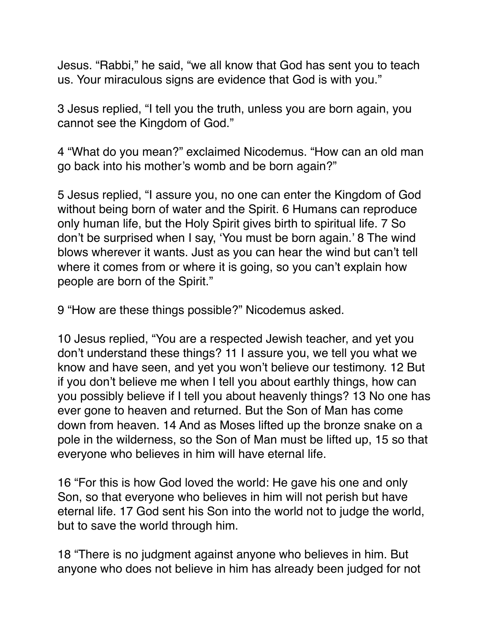Jesus. "Rabbi," he said, "we all know that God has sent you to teach us. Your miraculous signs are evidence that God is with you."

3 Jesus replied, "I tell you the truth, unless you are born again, you cannot see the Kingdom of God."

4 "What do you mean?" exclaimed Nicodemus. "How can an old man go back into his mother's womb and be born again?"

5 Jesus replied, "I assure you, no one can enter the Kingdom of God without being born of water and the Spirit. 6 Humans can reproduce only human life, but the Holy Spirit gives birth to spiritual life. 7 So don't be surprised when I say, 'You must be born again.' 8 The wind blows wherever it wants. Just as you can hear the wind but can't tell where it comes from or where it is going, so you can't explain how people are born of the Spirit."

9 "How are these things possible?" Nicodemus asked.

10 Jesus replied, "You are a respected Jewish teacher, and yet you don't understand these things? 11 I assure you, we tell you what we know and have seen, and yet you won't believe our testimony. 12 But if you don't believe me when I tell you about earthly things, how can you possibly believe if I tell you about heavenly things? 13 No one has ever gone to heaven and returned. But the Son of Man has come down from heaven. 14 And as Moses lifted up the bronze snake on a pole in the wilderness, so the Son of Man must be lifted up, 15 so that everyone who believes in him will have eternal life.

16 "For this is how God loved the world: He gave his one and only Son, so that everyone who believes in him will not perish but have eternal life. 17 God sent his Son into the world not to judge the world, but to save the world through him.

18 "There is no judgment against anyone who believes in him. But anyone who does not believe in him has already been judged for not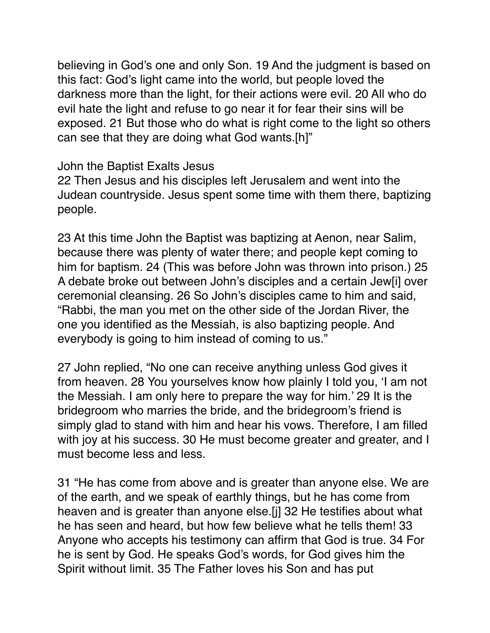believing in God's one and only Son. 19 And the judgment is based on this fact: God's light came into the world, but people loved the darkness more than the light, for their actions were evil. 20 All who do evil hate the light and refuse to go near it for fear their sins will be exposed. 21 But those who do what is right come to the light so others can see that they are doing what God wants.[h]"

John the Baptist Exalts Jesus

22 Then Jesus and his disciples left Jerusalem and went into the Judean countryside. Jesus spent some time with them there, baptizing people.

23 At this time John the Baptist was baptizing at Aenon, near Salim, because there was plenty of water there; and people kept coming to him for baptism. 24 (This was before John was thrown into prison.) 25 A debate broke out between John's disciples and a certain Jew[i] over ceremonial cleansing. 26 So John's disciples came to him and said, "Rabbi, the man you met on the other side of the Jordan River, the one you identified as the Messiah, is also baptizing people. And everybody is going to him instead of coming to us."

27 John replied, "No one can receive anything unless God gives it from heaven. 28 You yourselves know how plainly I told you, 'I am not the Messiah. I am only here to prepare the way for him.' 29 It is the bridegroom who marries the bride, and the bridegroom's friend is simply glad to stand with him and hear his vows. Therefore, I am filled with joy at his success. 30 He must become greater and greater, and I must become less and less.

31 "He has come from above and is greater than anyone else. We are of the earth, and we speak of earthly things, but he has come from heaven and is greater than anyone else.[j] 32 He testifies about what he has seen and heard, but how few believe what he tells them! 33 Anyone who accepts his testimony can affirm that God is true. 34 For he is sent by God. He speaks God's words, for God gives him the Spirit without limit. 35 The Father loves his Son and has put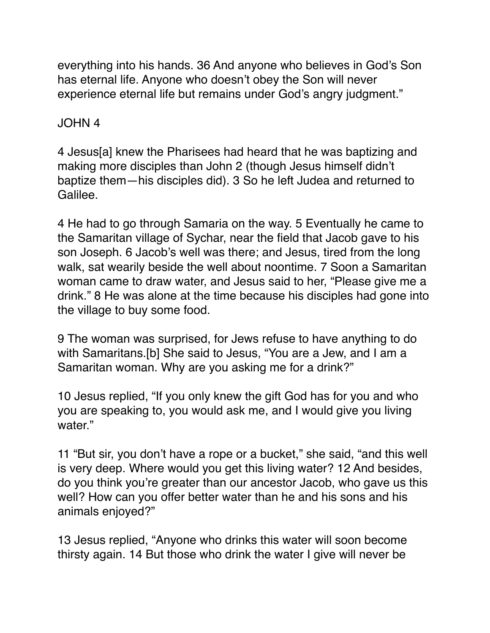everything into his hands. 36 And anyone who believes in God's Son has eternal life. Anyone who doesn't obey the Son will never experience eternal life but remains under God's angry judgment."

# JOHN 4

4 Jesus[a] knew the Pharisees had heard that he was baptizing and making more disciples than John 2 (though Jesus himself didn't baptize them—his disciples did). 3 So he left Judea and returned to Galilee.

4 He had to go through Samaria on the way. 5 Eventually he came to the Samaritan village of Sychar, near the field that Jacob gave to his son Joseph. 6 Jacob's well was there; and Jesus, tired from the long walk, sat wearily beside the well about noontime. 7 Soon a Samaritan woman came to draw water, and Jesus said to her, "Please give me a drink." 8 He was alone at the time because his disciples had gone into the village to buy some food.

9 The woman was surprised, for Jews refuse to have anything to do with Samaritans.[b] She said to Jesus, "You are a Jew, and I am a Samaritan woman. Why are you asking me for a drink?"

10 Jesus replied, "If you only knew the gift God has for you and who you are speaking to, you would ask me, and I would give you living water."

11 "But sir, you don't have a rope or a bucket," she said, "and this well is very deep. Where would you get this living water? 12 And besides, do you think you're greater than our ancestor Jacob, who gave us this well? How can you offer better water than he and his sons and his animals enjoyed?"

13 Jesus replied, "Anyone who drinks this water will soon become thirsty again. 14 But those who drink the water I give will never be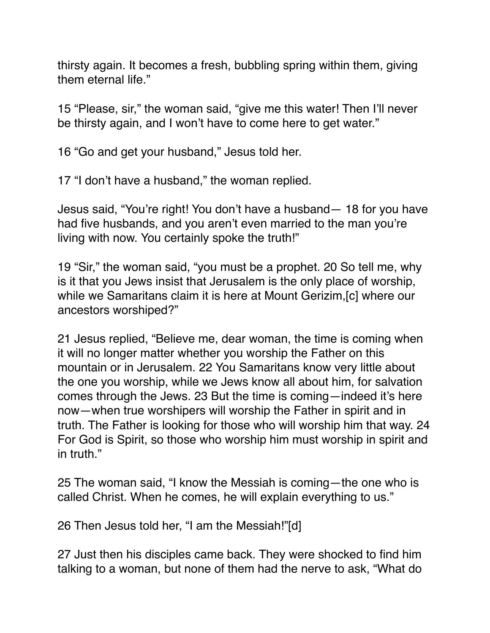thirsty again. It becomes a fresh, bubbling spring within them, giving them eternal life."

15 "Please, sir," the woman said, "give me this water! Then I'll never be thirsty again, and I won't have to come here to get water."

16 "Go and get your husband," Jesus told her.

17 "I don't have a husband," the woman replied.

Jesus said, "You're right! You don't have a husband— 18 for you have had five husbands, and you aren't even married to the man you're living with now. You certainly spoke the truth!"

19 "Sir," the woman said, "you must be a prophet. 20 So tell me, why is it that you Jews insist that Jerusalem is the only place of worship, while we Samaritans claim it is here at Mount Gerizim,[c] where our ancestors worshiped?"

21 Jesus replied, "Believe me, dear woman, the time is coming when it will no longer matter whether you worship the Father on this mountain or in Jerusalem. 22 You Samaritans know very little about the one you worship, while we Jews know all about him, for salvation comes through the Jews. 23 But the time is coming—indeed it's here now—when true worshipers will worship the Father in spirit and in truth. The Father is looking for those who will worship him that way. 24 For God is Spirit, so those who worship him must worship in spirit and in truth."

25 The woman said, "I know the Messiah is coming—the one who is called Christ. When he comes, he will explain everything to us."

26 Then Jesus told her, "I am the Messiah!"[d]

27 Just then his disciples came back. They were shocked to find him talking to a woman, but none of them had the nerve to ask, "What do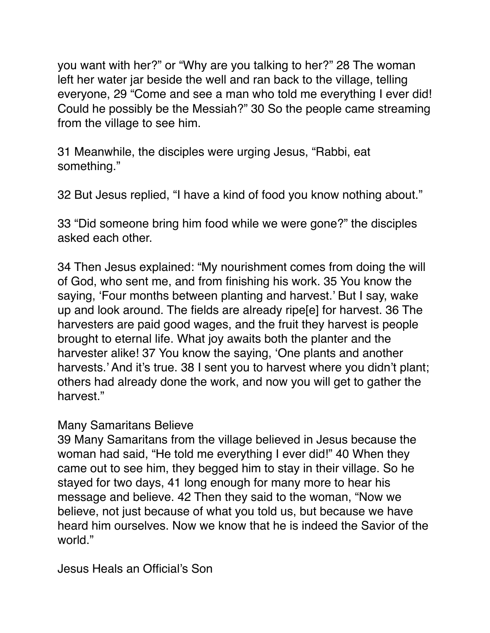you want with her?" or "Why are you talking to her?" 28 The woman left her water jar beside the well and ran back to the village, telling everyone, 29 "Come and see a man who told me everything I ever did! Could he possibly be the Messiah?" 30 So the people came streaming from the village to see him.

31 Meanwhile, the disciples were urging Jesus, "Rabbi, eat something."

32 But Jesus replied, "I have a kind of food you know nothing about."

33 "Did someone bring him food while we were gone?" the disciples asked each other.

34 Then Jesus explained: "My nourishment comes from doing the will of God, who sent me, and from finishing his work. 35 You know the saying, 'Four months between planting and harvest.' But I say, wake up and look around. The fields are already ripe[e] for harvest. 36 The harvesters are paid good wages, and the fruit they harvest is people brought to eternal life. What joy awaits both the planter and the harvester alike! 37 You know the saying, 'One plants and another harvests.' And it's true. 38 I sent you to harvest where you didn't plant; others had already done the work, and now you will get to gather the harvest."

## Many Samaritans Believe

39 Many Samaritans from the village believed in Jesus because the woman had said, "He told me everything I ever did!" 40 When they came out to see him, they begged him to stay in their village. So he stayed for two days, 41 long enough for many more to hear his message and believe. 42 Then they said to the woman, "Now we believe, not just because of what you told us, but because we have heard him ourselves. Now we know that he is indeed the Savior of the world."

Jesus Heals an Official's Son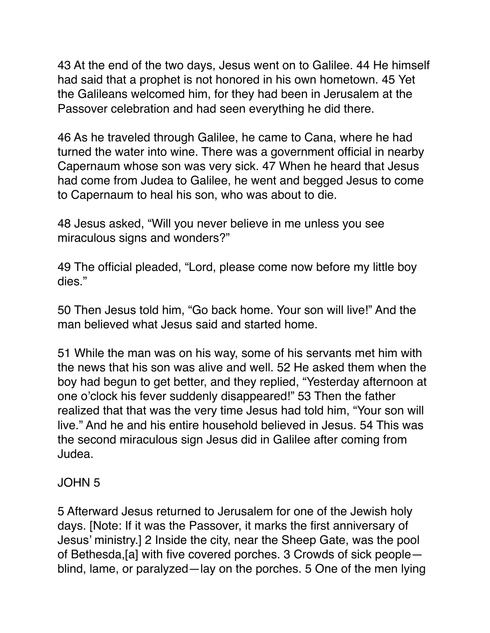43 At the end of the two days, Jesus went on to Galilee. 44 He himself had said that a prophet is not honored in his own hometown. 45 Yet the Galileans welcomed him, for they had been in Jerusalem at the Passover celebration and had seen everything he did there.

46 As he traveled through Galilee, he came to Cana, where he had turned the water into wine. There was a government official in nearby Capernaum whose son was very sick. 47 When he heard that Jesus had come from Judea to Galilee, he went and begged Jesus to come to Capernaum to heal his son, who was about to die.

48 Jesus asked, "Will you never believe in me unless you see miraculous signs and wonders?"

49 The official pleaded, "Lord, please come now before my little boy dies."

50 Then Jesus told him, "Go back home. Your son will live!" And the man believed what Jesus said and started home.

51 While the man was on his way, some of his servants met him with the news that his son was alive and well. 52 He asked them when the boy had begun to get better, and they replied, "Yesterday afternoon at one o'clock his fever suddenly disappeared!" 53 Then the father realized that that was the very time Jesus had told him, "Your son will live." And he and his entire household believed in Jesus. 54 This was the second miraculous sign Jesus did in Galilee after coming from Judea.

# JOHN 5

5 Afterward Jesus returned to Jerusalem for one of the Jewish holy days. [Note: If it was the Passover, it marks the first anniversary of Jesus' ministry.] 2 Inside the city, near the Sheep Gate, was the pool of Bethesda,[a] with five covered porches. 3 Crowds of sick people blind, lame, or paralyzed—lay on the porches. 5 One of the men lying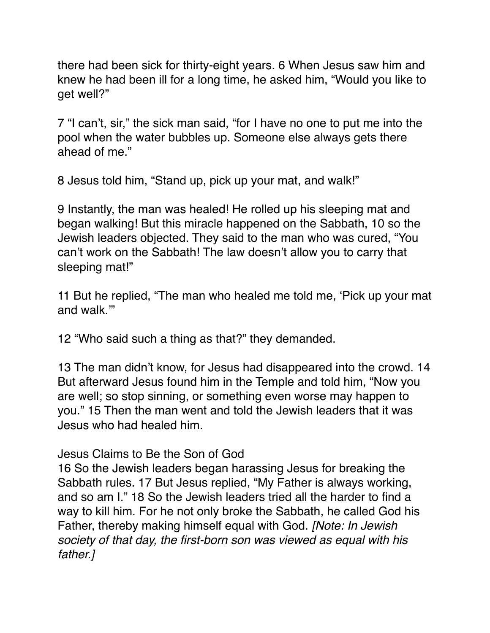there had been sick for thirty-eight years. 6 When Jesus saw him and knew he had been ill for a long time, he asked him, "Would you like to get well?"

7 "I can't, sir," the sick man said, "for I have no one to put me into the pool when the water bubbles up. Someone else always gets there ahead of me."

8 Jesus told him, "Stand up, pick up your mat, and walk!"

9 Instantly, the man was healed! He rolled up his sleeping mat and began walking! But this miracle happened on the Sabbath, 10 so the Jewish leaders objected. They said to the man who was cured, "You can't work on the Sabbath! The law doesn't allow you to carry that sleeping mat!"

11 But he replied, "The man who healed me told me, 'Pick up your mat and walk.'"

12 "Who said such a thing as that?" they demanded.

13 The man didn't know, for Jesus had disappeared into the crowd. 14 But afterward Jesus found him in the Temple and told him, "Now you are well; so stop sinning, or something even worse may happen to you." 15 Then the man went and told the Jewish leaders that it was Jesus who had healed him.

Jesus Claims to Be the Son of God

16 So the Jewish leaders began harassing Jesus for breaking the Sabbath rules. 17 But Jesus replied, "My Father is always working, and so am I." 18 So the Jewish leaders tried all the harder to find a way to kill him. For he not only broke the Sabbath, he called God his Father, thereby making himself equal with God. *[Note: In Jewish society of that day, the first-born son was viewed as equal with his father.]*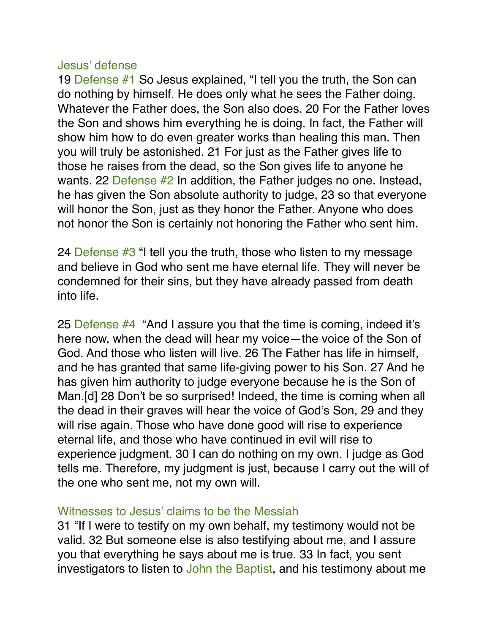#### Jesus' defense

19 Defense #1 So Jesus explained, "I tell you the truth, the Son can do nothing by himself. He does only what he sees the Father doing. Whatever the Father does, the Son also does. 20 For the Father loves the Son and shows him everything he is doing. In fact, the Father will show him how to do even greater works than healing this man. Then you will truly be astonished. 21 For just as the Father gives life to those he raises from the dead, so the Son gives life to anyone he wants. 22 Defense #2 In addition, the Father judges no one. Instead, he has given the Son absolute authority to judge, 23 so that everyone will honor the Son, just as they honor the Father. Anyone who does not honor the Son is certainly not honoring the Father who sent him.

24 Defense #3 "I tell you the truth, those who listen to my message and believe in God who sent me have eternal life. They will never be condemned for their sins, but they have already passed from death into life.

25 Defense  $#4$  "And I assure you that the time is coming, indeed it's here now, when the dead will hear my voice—the voice of the Son of God. And those who listen will live. 26 The Father has life in himself, and he has granted that same life-giving power to his Son. 27 And he has given him authority to judge everyone because he is the Son of Man.[d] 28 Don't be so surprised! Indeed, the time is coming when all the dead in their graves will hear the voice of God's Son, 29 and they will rise again. Those who have done good will rise to experience eternal life, and those who have continued in evil will rise to experience judgment. 30 I can do nothing on my own. I judge as God tells me. Therefore, my judgment is just, because I carry out the will of the one who sent me, not my own will.

#### Witnesses to Jesus' claims to be the Messiah

31 "If I were to testify on my own behalf, my testimony would not be valid. 32 But someone else is also testifying about me, and I assure you that everything he says about me is true. 33 In fact, you sent investigators to listen to John the Baptist, and his testimony about me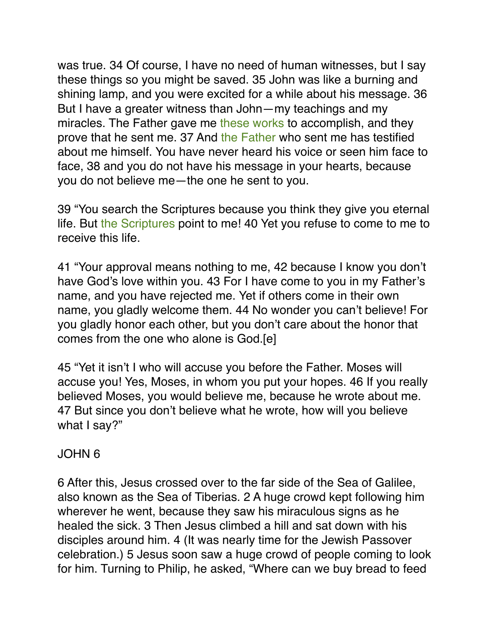was true. 34 Of course, I have no need of human witnesses, but I say these things so you might be saved. 35 John was like a burning and shining lamp, and you were excited for a while about his message. 36 But I have a greater witness than John—my teachings and my miracles. The Father gave me these works to accomplish, and they prove that he sent me. 37 And the Father who sent me has testified about me himself. You have never heard his voice or seen him face to face, 38 and you do not have his message in your hearts, because you do not believe me—the one he sent to you.

39 "You search the Scriptures because you think they give you eternal life. But the Scriptures point to me! 40 Yet you refuse to come to me to receive this life.

41 "Your approval means nothing to me, 42 because I know you don't have God's love within you. 43 For I have come to you in my Father's name, and you have rejected me. Yet if others come in their own name, you gladly welcome them. 44 No wonder you can't believe! For you gladly honor each other, but you don't care about the honor that comes from the one who alone is God.[e]

45 "Yet it isn't I who will accuse you before the Father. Moses will accuse you! Yes, Moses, in whom you put your hopes. 46 If you really believed Moses, you would believe me, because he wrote about me. 47 But since you don't believe what he wrote, how will you believe what I say?"

# JOHN 6

6 After this, Jesus crossed over to the far side of the Sea of Galilee, also known as the Sea of Tiberias. 2 A huge crowd kept following him wherever he went, because they saw his miraculous signs as he healed the sick. 3 Then Jesus climbed a hill and sat down with his disciples around him. 4 (It was nearly time for the Jewish Passover celebration.) 5 Jesus soon saw a huge crowd of people coming to look for him. Turning to Philip, he asked, "Where can we buy bread to feed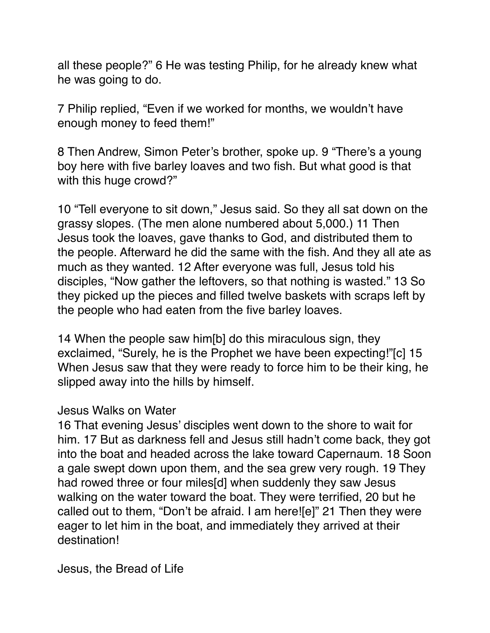all these people?" 6 He was testing Philip, for he already knew what he was going to do.

7 Philip replied, "Even if we worked for months, we wouldn't have enough money to feed them!"

8 Then Andrew, Simon Peter's brother, spoke up. 9 "There's a young boy here with five barley loaves and two fish. But what good is that with this huge crowd?"

10 "Tell everyone to sit down," Jesus said. So they all sat down on the grassy slopes. (The men alone numbered about 5,000.) 11 Then Jesus took the loaves, gave thanks to God, and distributed them to the people. Afterward he did the same with the fish. And they all ate as much as they wanted. 12 After everyone was full, Jesus told his disciples, "Now gather the leftovers, so that nothing is wasted." 13 So they picked up the pieces and filled twelve baskets with scraps left by the people who had eaten from the five barley loaves.

14 When the people saw him[b] do this miraculous sign, they exclaimed, "Surely, he is the Prophet we have been expecting!"[c] 15 When Jesus saw that they were ready to force him to be their king, he slipped away into the hills by himself.

#### Jesus Walks on Water

16 That evening Jesus' disciples went down to the shore to wait for him. 17 But as darkness fell and Jesus still hadn't come back, they got into the boat and headed across the lake toward Capernaum. 18 Soon a gale swept down upon them, and the sea grew very rough. 19 They had rowed three or four miles[d] when suddenly they saw Jesus walking on the water toward the boat. They were terrified, 20 but he called out to them, "Don't be afraid. I am here![e]" 21 Then they were eager to let him in the boat, and immediately they arrived at their destination!

Jesus, the Bread of Life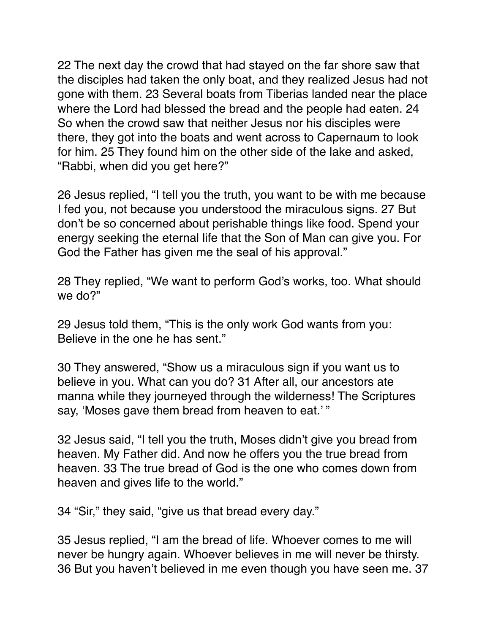22 The next day the crowd that had stayed on the far shore saw that the disciples had taken the only boat, and they realized Jesus had not gone with them. 23 Several boats from Tiberias landed near the place where the Lord had blessed the bread and the people had eaten. 24 So when the crowd saw that neither Jesus nor his disciples were there, they got into the boats and went across to Capernaum to look for him. 25 They found him on the other side of the lake and asked, "Rabbi, when did you get here?"

26 Jesus replied, "I tell you the truth, you want to be with me because I fed you, not because you understood the miraculous signs. 27 But don't be so concerned about perishable things like food. Spend your energy seeking the eternal life that the Son of Man can give you. For God the Father has given me the seal of his approval."

28 They replied, "We want to perform God's works, too. What should we do?"

29 Jesus told them, "This is the only work God wants from you: Believe in the one he has sent."

30 They answered, "Show us a miraculous sign if you want us to believe in you. What can you do? 31 After all, our ancestors ate manna while they journeyed through the wilderness! The Scriptures say, 'Moses gave them bread from heaven to eat.' "

32 Jesus said, "I tell you the truth, Moses didn't give you bread from heaven. My Father did. And now he offers you the true bread from heaven. 33 The true bread of God is the one who comes down from heaven and gives life to the world."

34 "Sir," they said, "give us that bread every day."

35 Jesus replied, "I am the bread of life. Whoever comes to me will never be hungry again. Whoever believes in me will never be thirsty. 36 But you haven't believed in me even though you have seen me. 37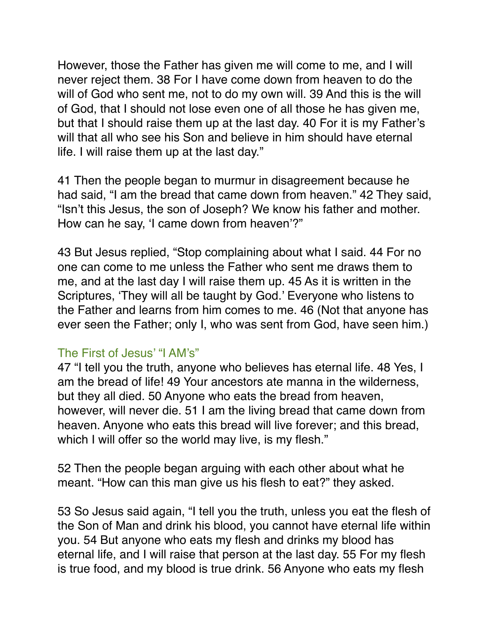However, those the Father has given me will come to me, and I will never reject them. 38 For I have come down from heaven to do the will of God who sent me, not to do my own will. 39 And this is the will of God, that I should not lose even one of all those he has given me, but that I should raise them up at the last day. 40 For it is my Father's will that all who see his Son and believe in him should have eternal life. I will raise them up at the last day."

41 Then the people began to murmur in disagreement because he had said, "I am the bread that came down from heaven." 42 They said, "Isn't this Jesus, the son of Joseph? We know his father and mother. How can he say, 'I came down from heaven'?"

43 But Jesus replied, "Stop complaining about what I said. 44 For no one can come to me unless the Father who sent me draws them to me, and at the last day I will raise them up. 45 As it is written in the Scriptures, 'They will all be taught by God.' Everyone who listens to the Father and learns from him comes to me. 46 (Not that anyone has ever seen the Father; only I, who was sent from God, have seen him.)

## The First of Jesus' "I AM's"

47 "I tell you the truth, anyone who believes has eternal life. 48 Yes, I am the bread of life! 49 Your ancestors ate manna in the wilderness, but they all died. 50 Anyone who eats the bread from heaven, however, will never die. 51 I am the living bread that came down from heaven. Anyone who eats this bread will live forever; and this bread, which I will offer so the world may live, is my flesh."

52 Then the people began arguing with each other about what he meant. "How can this man give us his flesh to eat?" they asked.

53 So Jesus said again, "I tell you the truth, unless you eat the flesh of the Son of Man and drink his blood, you cannot have eternal life within you. 54 But anyone who eats my flesh and drinks my blood has eternal life, and I will raise that person at the last day. 55 For my flesh is true food, and my blood is true drink. 56 Anyone who eats my flesh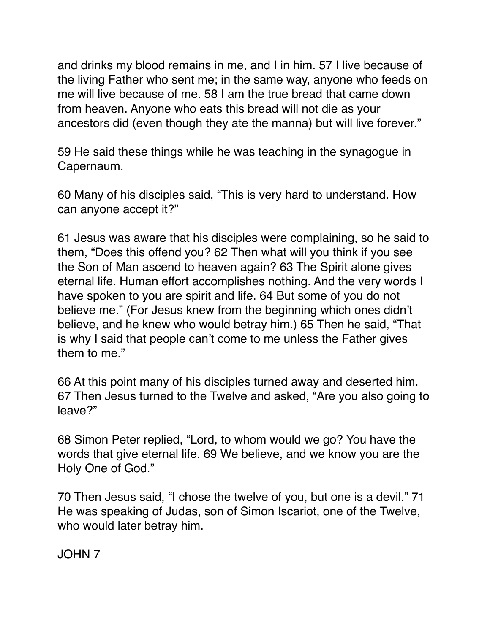and drinks my blood remains in me, and I in him. 57 I live because of the living Father who sent me; in the same way, anyone who feeds on me will live because of me. 58 I am the true bread that came down from heaven. Anyone who eats this bread will not die as your ancestors did (even though they ate the manna) but will live forever."

59 He said these things while he was teaching in the synagogue in Capernaum.

60 Many of his disciples said, "This is very hard to understand. How can anyone accept it?"

61 Jesus was aware that his disciples were complaining, so he said to them, "Does this offend you? 62 Then what will you think if you see the Son of Man ascend to heaven again? 63 The Spirit alone gives eternal life. Human effort accomplishes nothing. And the very words I have spoken to you are spirit and life. 64 But some of you do not believe me." (For Jesus knew from the beginning which ones didn't believe, and he knew who would betray him.) 65 Then he said, "That is why I said that people can't come to me unless the Father gives them to me."

66 At this point many of his disciples turned away and deserted him. 67 Then Jesus turned to the Twelve and asked, "Are you also going to leave?"

68 Simon Peter replied, "Lord, to whom would we go? You have the words that give eternal life. 69 We believe, and we know you are the Holy One of God."

70 Then Jesus said, "I chose the twelve of you, but one is a devil." 71 He was speaking of Judas, son of Simon Iscariot, one of the Twelve, who would later betray him.

JOHN 7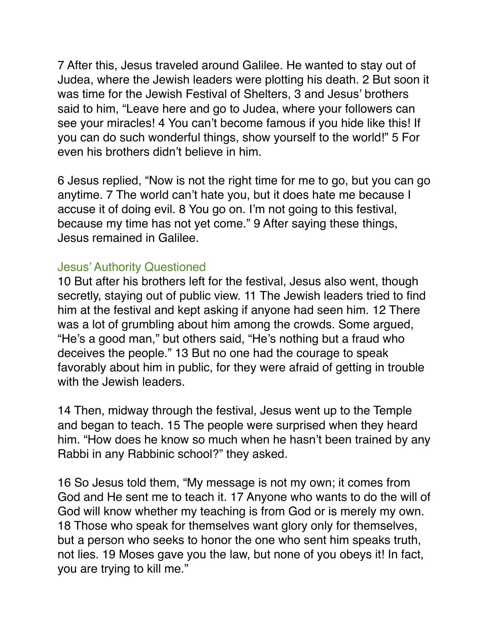7 After this, Jesus traveled around Galilee. He wanted to stay out of Judea, where the Jewish leaders were plotting his death. 2 But soon it was time for the Jewish Festival of Shelters, 3 and Jesus' brothers said to him, "Leave here and go to Judea, where your followers can see your miracles! 4 You can't become famous if you hide like this! If you can do such wonderful things, show yourself to the world!" 5 For even his brothers didn't believe in him.

6 Jesus replied, "Now is not the right time for me to go, but you can go anytime. 7 The world can't hate you, but it does hate me because I accuse it of doing evil. 8 You go on. I'm not going to this festival, because my time has not yet come." 9 After saying these things, Jesus remained in Galilee.

## Jesus' Authority Questioned

10 But after his brothers left for the festival, Jesus also went, though secretly, staying out of public view. 11 The Jewish leaders tried to find him at the festival and kept asking if anyone had seen him. 12 There was a lot of grumbling about him among the crowds. Some argued, "He's a good man," but others said, "He's nothing but a fraud who deceives the people." 13 But no one had the courage to speak favorably about him in public, for they were afraid of getting in trouble with the Jewish leaders.

14 Then, midway through the festival, Jesus went up to the Temple and began to teach. 15 The people were surprised when they heard him. "How does he know so much when he hasn't been trained by any Rabbi in any Rabbinic school?" they asked.

16 So Jesus told them, "My message is not my own; it comes from God and He sent me to teach it. 17 Anyone who wants to do the will of God will know whether my teaching is from God or is merely my own. 18 Those who speak for themselves want glory only for themselves, but a person who seeks to honor the one who sent him speaks truth, not lies. 19 Moses gave you the law, but none of you obeys it! In fact, you are trying to kill me."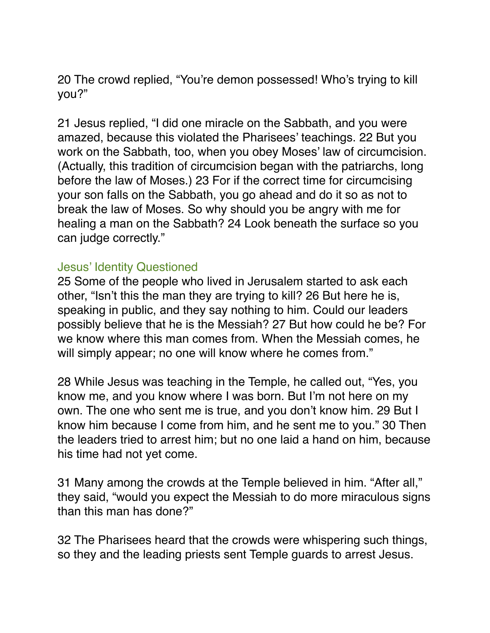20 The crowd replied, "You're demon possessed! Who's trying to kill you?"

21 Jesus replied, "I did one miracle on the Sabbath, and you were amazed, because this violated the Pharisees' teachings. 22 But you work on the Sabbath, too, when you obey Moses' law of circumcision. (Actually, this tradition of circumcision began with the patriarchs, long before the law of Moses.) 23 For if the correct time for circumcising your son falls on the Sabbath, you go ahead and do it so as not to break the law of Moses. So why should you be angry with me for healing a man on the Sabbath? 24 Look beneath the surface so you can judge correctly."

#### Jesus' Identity Questioned

25 Some of the people who lived in Jerusalem started to ask each other, "Isn't this the man they are trying to kill? 26 But here he is, speaking in public, and they say nothing to him. Could our leaders possibly believe that he is the Messiah? 27 But how could he be? For we know where this man comes from. When the Messiah comes, he will simply appear; no one will know where he comes from."

28 While Jesus was teaching in the Temple, he called out, "Yes, you know me, and you know where I was born. But I'm not here on my own. The one who sent me is true, and you don't know him. 29 But I know him because I come from him, and he sent me to you." 30 Then the leaders tried to arrest him; but no one laid a hand on him, because his time had not yet come.

31 Many among the crowds at the Temple believed in him. "After all," they said, "would you expect the Messiah to do more miraculous signs than this man has done?"

32 The Pharisees heard that the crowds were whispering such things, so they and the leading priests sent Temple guards to arrest Jesus.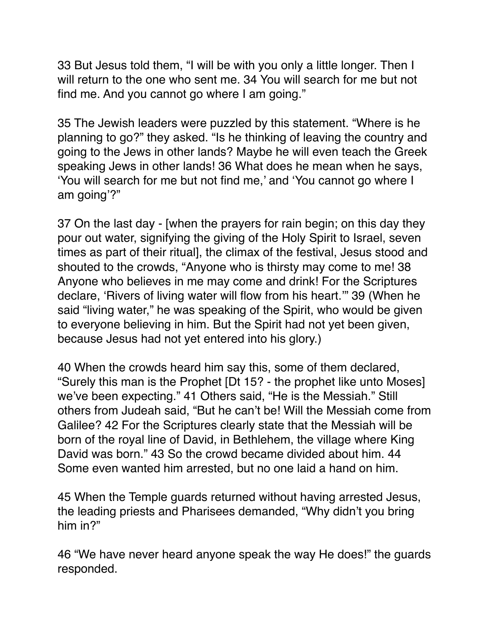33 But Jesus told them, "I will be with you only a little longer. Then I will return to the one who sent me. 34 You will search for me but not find me. And you cannot go where I am going."

35 The Jewish leaders were puzzled by this statement. "Where is he planning to go?" they asked. "Is he thinking of leaving the country and going to the Jews in other lands? Maybe he will even teach the Greek speaking Jews in other lands! 36 What does he mean when he says, 'You will search for me but not find me,' and 'You cannot go where I am going'?"

37 On the last day - [when the prayers for rain begin; on this day they pour out water, signifying the giving of the Holy Spirit to Israel, seven times as part of their ritual], the climax of the festival, Jesus stood and shouted to the crowds, "Anyone who is thirsty may come to me! 38 Anyone who believes in me may come and drink! For the Scriptures declare, 'Rivers of living water will flow from his heart.'" 39 (When he said "living water," he was speaking of the Spirit, who would be given to everyone believing in him. But the Spirit had not yet been given, because Jesus had not yet entered into his glory.)

40 When the crowds heard him say this, some of them declared, "Surely this man is the Prophet [Dt 15? - the prophet like unto Moses] we've been expecting." 41 Others said, "He is the Messiah." Still others from Judeah said, "But he can't be! Will the Messiah come from Galilee? 42 For the Scriptures clearly state that the Messiah will be born of the royal line of David, in Bethlehem, the village where King David was born." 43 So the crowd became divided about him. 44 Some even wanted him arrested, but no one laid a hand on him.

45 When the Temple guards returned without having arrested Jesus, the leading priests and Pharisees demanded, "Why didn't you bring him in?"

46 "We have never heard anyone speak the way He does!" the guards responded.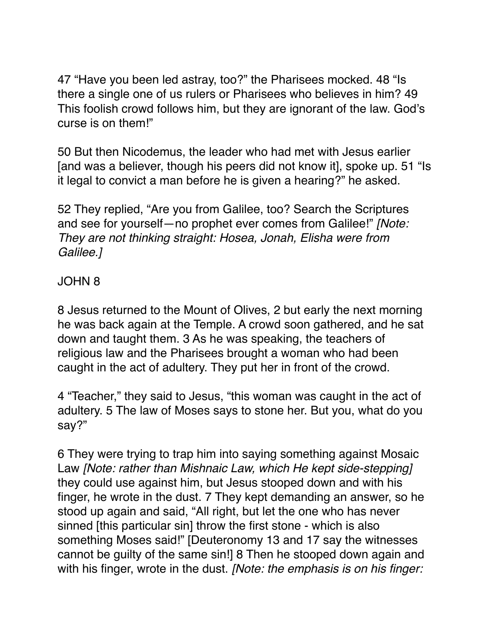47 "Have you been led astray, too?" the Pharisees mocked. 48 "Is there a single one of us rulers or Pharisees who believes in him? 49 This foolish crowd follows him, but they are ignorant of the law. God's curse is on them!"

50 But then Nicodemus, the leader who had met with Jesus earlier [and was a believer, though his peers did not know it], spoke up. 51 "Is it legal to convict a man before he is given a hearing?" he asked.

52 They replied, "Are you from Galilee, too? Search the Scriptures and see for yourself—no prophet ever comes from Galilee!" *[Note: They are not thinking straight: Hosea, Jonah, Elisha were from Galilee.]*

# JOHN 8

8 Jesus returned to the Mount of Olives, 2 but early the next morning he was back again at the Temple. A crowd soon gathered, and he sat down and taught them. 3 As he was speaking, the teachers of religious law and the Pharisees brought a woman who had been caught in the act of adultery. They put her in front of the crowd.

4 "Teacher," they said to Jesus, "this woman was caught in the act of adultery. 5 The law of Moses says to stone her. But you, what do you say?"

6 They were trying to trap him into saying something against Mosaic Law *[Note: rather than Mishnaic Law, which He kept side-stepping]* they could use against him, but Jesus stooped down and with his finger, he wrote in the dust. 7 They kept demanding an answer, so he stood up again and said, "All right, but let the one who has never sinned [this particular sin] throw the first stone - which is also something Moses said!" [Deuteronomy 13 and 17 say the witnesses cannot be guilty of the same sin!] 8 Then he stooped down again and with his finger, wrote in the dust. *[Note: the emphasis is on his finger:*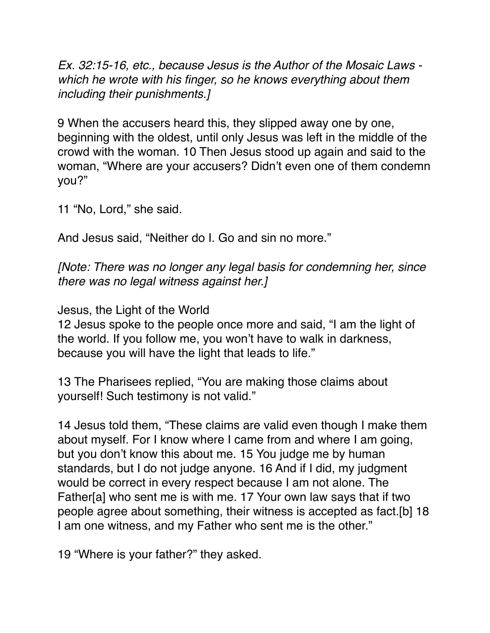*Ex. 32:15-16, etc., because Jesus is the Author of the Mosaic Laws which he wrote with his finger, so he knows everything about them including their punishments.]*

9 When the accusers heard this, they slipped away one by one, beginning with the oldest, until only Jesus was left in the middle of the crowd with the woman. 10 Then Jesus stood up again and said to the woman, "Where are your accusers? Didn't even one of them condemn you?"

11 "No, Lord," she said.

And Jesus said, "Neither do I. Go and sin no more."

*[Note: There was no longer any legal basis for condemning her, since there was no legal witness against her.]*

Jesus, the Light of the World

12 Jesus spoke to the people once more and said, "I am the light of the world. If you follow me, you won't have to walk in darkness, because you will have the light that leads to life."

13 The Pharisees replied, "You are making those claims about yourself! Such testimony is not valid."

14 Jesus told them, "These claims are valid even though I make them about myself. For I know where I came from and where I am going, but you don't know this about me. 15 You judge me by human standards, but I do not judge anyone. 16 And if I did, my judgment would be correct in every respect because I am not alone. The Father[a] who sent me is with me. 17 Your own law says that if two people agree about something, their witness is accepted as fact.[b] 18 I am one witness, and my Father who sent me is the other."

19 "Where is your father?" they asked.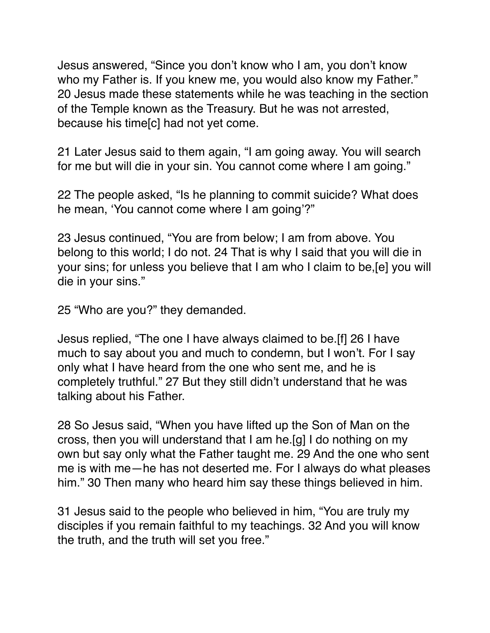Jesus answered, "Since you don't know who I am, you don't know who my Father is. If you knew me, you would also know my Father." 20 Jesus made these statements while he was teaching in the section of the Temple known as the Treasury. But he was not arrested, because his time[c] had not yet come.

21 Later Jesus said to them again, "I am going away. You will search for me but will die in your sin. You cannot come where I am going."

22 The people asked, "Is he planning to commit suicide? What does he mean, 'You cannot come where I am going'?"

23 Jesus continued, "You are from below; I am from above. You belong to this world; I do not. 24 That is why I said that you will die in your sins; for unless you believe that I am who I claim to be,[e] you will die in your sins."

25 "Who are you?" they demanded.

Jesus replied, "The one I have always claimed to be.[f] 26 I have much to say about you and much to condemn, but I won't. For I say only what I have heard from the one who sent me, and he is completely truthful." 27 But they still didn't understand that he was talking about his Father.

28 So Jesus said, "When you have lifted up the Son of Man on the cross, then you will understand that I am he.[g] I do nothing on my own but say only what the Father taught me. 29 And the one who sent me is with me—he has not deserted me. For I always do what pleases him." 30 Then many who heard him say these things believed in him.

31 Jesus said to the people who believed in him, "You are truly my disciples if you remain faithful to my teachings. 32 And you will know the truth, and the truth will set you free."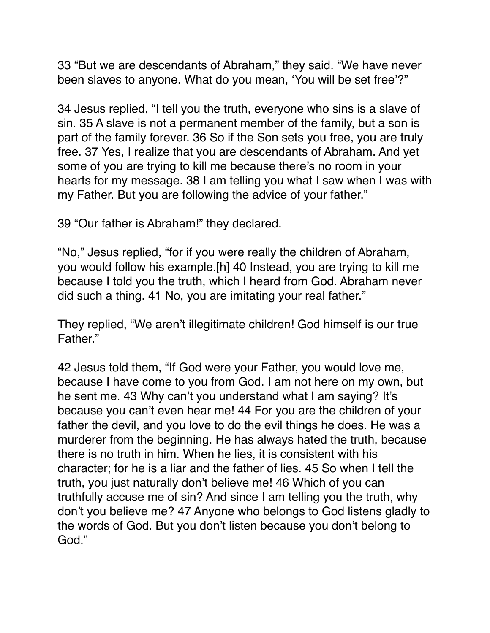33 "But we are descendants of Abraham," they said. "We have never been slaves to anyone. What do you mean, 'You will be set free'?"

34 Jesus replied, "I tell you the truth, everyone who sins is a slave of sin. 35 A slave is not a permanent member of the family, but a son is part of the family forever. 36 So if the Son sets you free, you are truly free. 37 Yes, I realize that you are descendants of Abraham. And yet some of you are trying to kill me because there's no room in your hearts for my message. 38 I am telling you what I saw when I was with my Father. But you are following the advice of your father."

39 "Our father is Abraham!" they declared.

"No," Jesus replied, "for if you were really the children of Abraham, you would follow his example.[h] 40 Instead, you are trying to kill me because I told you the truth, which I heard from God. Abraham never did such a thing. 41 No, you are imitating your real father."

They replied, "We aren't illegitimate children! God himself is our true Father."

42 Jesus told them, "If God were your Father, you would love me, because I have come to you from God. I am not here on my own, but he sent me. 43 Why can't you understand what I am saying? It's because you can't even hear me! 44 For you are the children of your father the devil, and you love to do the evil things he does. He was a murderer from the beginning. He has always hated the truth, because there is no truth in him. When he lies, it is consistent with his character; for he is a liar and the father of lies. 45 So when I tell the truth, you just naturally don't believe me! 46 Which of you can truthfully accuse me of sin? And since I am telling you the truth, why don't you believe me? 47 Anyone who belongs to God listens gladly to the words of God. But you don't listen because you don't belong to God."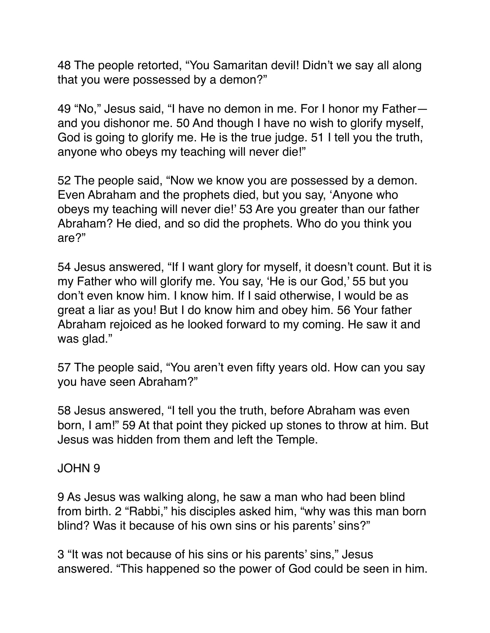48 The people retorted, "You Samaritan devil! Didn't we say all along that you were possessed by a demon?"

49 "No," Jesus said, "I have no demon in me. For I honor my Father and you dishonor me. 50 And though I have no wish to glorify myself, God is going to glorify me. He is the true judge. 51 I tell you the truth, anyone who obeys my teaching will never die!"

52 The people said, "Now we know you are possessed by a demon. Even Abraham and the prophets died, but you say, 'Anyone who obeys my teaching will never die!' 53 Are you greater than our father Abraham? He died, and so did the prophets. Who do you think you are?"

54 Jesus answered, "If I want glory for myself, it doesn't count. But it is my Father who will glorify me. You say, 'He is our God,' 55 but you don't even know him. I know him. If I said otherwise, I would be as great a liar as you! But I do know him and obey him. 56 Your father Abraham rejoiced as he looked forward to my coming. He saw it and was glad."

57 The people said, "You aren't even fifty years old. How can you say you have seen Abraham?"

58 Jesus answered, "I tell you the truth, before Abraham was even born, I am!" 59 At that point they picked up stones to throw at him. But Jesus was hidden from them and left the Temple.

## JOHN 9

9 As Jesus was walking along, he saw a man who had been blind from birth. 2 "Rabbi," his disciples asked him, "why was this man born blind? Was it because of his own sins or his parents' sins?"

3 "It was not because of his sins or his parents' sins," Jesus answered. "This happened so the power of God could be seen in him.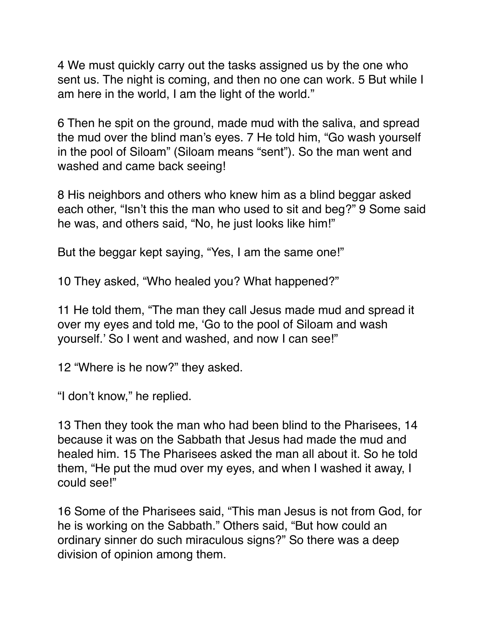4 We must quickly carry out the tasks assigned us by the one who sent us. The night is coming, and then no one can work. 5 But while I am here in the world, I am the light of the world."

6 Then he spit on the ground, made mud with the saliva, and spread the mud over the blind man's eyes. 7 He told him, "Go wash yourself in the pool of Siloam" (Siloam means "sent"). So the man went and washed and came back seeing!

8 His neighbors and others who knew him as a blind beggar asked each other, "Isn't this the man who used to sit and beg?" 9 Some said he was, and others said, "No, he just looks like him!"

But the beggar kept saying, "Yes, I am the same one!"

10 They asked, "Who healed you? What happened?"

11 He told them, "The man they call Jesus made mud and spread it over my eyes and told me, 'Go to the pool of Siloam and wash yourself.' So I went and washed, and now I can see!"

12 "Where is he now?" they asked.

"I don't know," he replied.

13 Then they took the man who had been blind to the Pharisees, 14 because it was on the Sabbath that Jesus had made the mud and healed him. 15 The Pharisees asked the man all about it. So he told them, "He put the mud over my eyes, and when I washed it away, I could see!"

16 Some of the Pharisees said, "This man Jesus is not from God, for he is working on the Sabbath." Others said, "But how could an ordinary sinner do such miraculous signs?" So there was a deep division of opinion among them.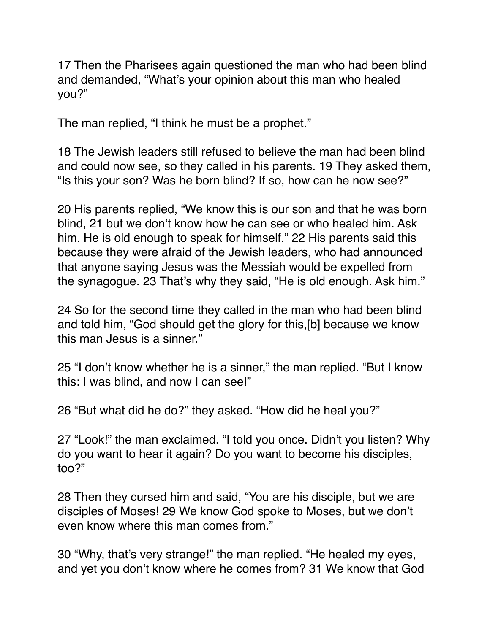17 Then the Pharisees again questioned the man who had been blind and demanded, "What's your opinion about this man who healed you?"

The man replied, "I think he must be a prophet."

18 The Jewish leaders still refused to believe the man had been blind and could now see, so they called in his parents. 19 They asked them, "Is this your son? Was he born blind? If so, how can he now see?"

20 His parents replied, "We know this is our son and that he was born blind, 21 but we don't know how he can see or who healed him. Ask him. He is old enough to speak for himself." 22 His parents said this because they were afraid of the Jewish leaders, who had announced that anyone saying Jesus was the Messiah would be expelled from the synagogue. 23 That's why they said, "He is old enough. Ask him."

24 So for the second time they called in the man who had been blind and told him, "God should get the glory for this,[b] because we know this man Jesus is a sinner."

25 "I don't know whether he is a sinner," the man replied. "But I know this: I was blind, and now I can see!"

26 "But what did he do?" they asked. "How did he heal you?"

27 "Look!" the man exclaimed. "I told you once. Didn't you listen? Why do you want to hear it again? Do you want to become his disciples, too?"

28 Then they cursed him and said, "You are his disciple, but we are disciples of Moses! 29 We know God spoke to Moses, but we don't even know where this man comes from."

30 "Why, that's very strange!" the man replied. "He healed my eyes, and yet you don't know where he comes from? 31 We know that God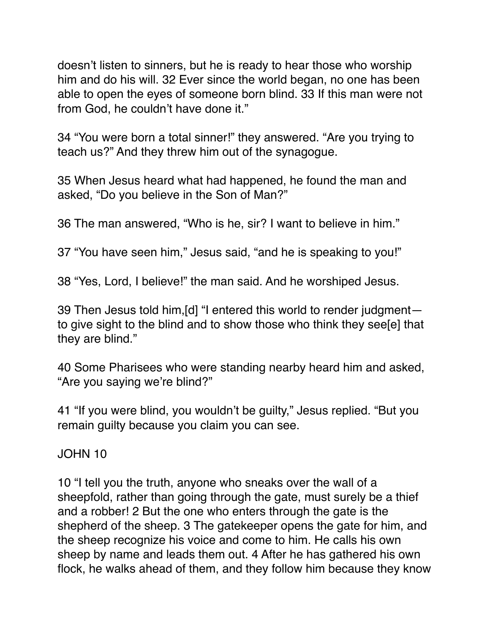doesn't listen to sinners, but he is ready to hear those who worship him and do his will. 32 Ever since the world began, no one has been able to open the eyes of someone born blind. 33 If this man were not from God, he couldn't have done it."

34 "You were born a total sinner!" they answered. "Are you trying to teach us?" And they threw him out of the synagogue.

35 When Jesus heard what had happened, he found the man and asked, "Do you believe in the Son of Man?"

36 The man answered, "Who is he, sir? I want to believe in him."

37 "You have seen him," Jesus said, "and he is speaking to you!"

38 "Yes, Lord, I believe!" the man said. And he worshiped Jesus.

39 Then Jesus told him,[d] "I entered this world to render judgment to give sight to the blind and to show those who think they see[e] that they are blind."

40 Some Pharisees who were standing nearby heard him and asked, "Are you saying we're blind?"

41 "If you were blind, you wouldn't be guilty," Jesus replied. "But you remain guilty because you claim you can see.

JOHN 10

10 "I tell you the truth, anyone who sneaks over the wall of a sheepfold, rather than going through the gate, must surely be a thief and a robber! 2 But the one who enters through the gate is the shepherd of the sheep. 3 The gatekeeper opens the gate for him, and the sheep recognize his voice and come to him. He calls his own sheep by name and leads them out. 4 After he has gathered his own flock, he walks ahead of them, and they follow him because they know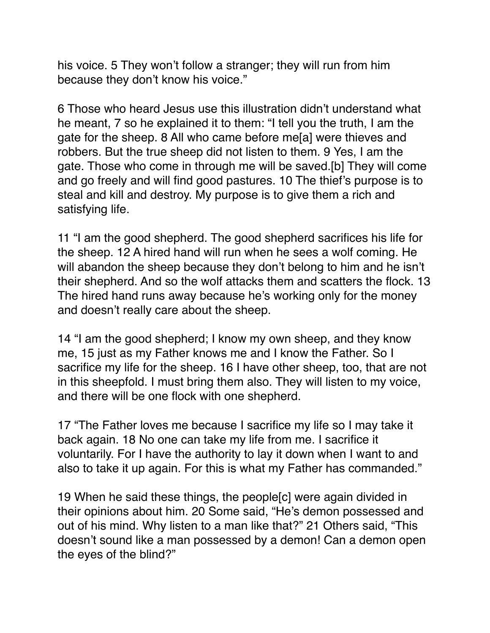his voice. 5 They won't follow a stranger; they will run from him because they don't know his voice."

6 Those who heard Jesus use this illustration didn't understand what he meant, 7 so he explained it to them: "I tell you the truth, I am the gate for the sheep. 8 All who came before me[a] were thieves and robbers. But the true sheep did not listen to them. 9 Yes, I am the gate. Those who come in through me will be saved.[b] They will come and go freely and will find good pastures. 10 The thief's purpose is to steal and kill and destroy. My purpose is to give them a rich and satisfying life.

11 "I am the good shepherd. The good shepherd sacrifices his life for the sheep. 12 A hired hand will run when he sees a wolf coming. He will abandon the sheep because they don't belong to him and he isn't their shepherd. And so the wolf attacks them and scatters the flock. 13 The hired hand runs away because he's working only for the money and doesn't really care about the sheep.

14 "I am the good shepherd; I know my own sheep, and they know me, 15 just as my Father knows me and I know the Father. So I sacrifice my life for the sheep. 16 I have other sheep, too, that are not in this sheepfold. I must bring them also. They will listen to my voice, and there will be one flock with one shepherd.

17 "The Father loves me because I sacrifice my life so I may take it back again. 18 No one can take my life from me. I sacrifice it voluntarily. For I have the authority to lay it down when I want to and also to take it up again. For this is what my Father has commanded."

19 When he said these things, the people[c] were again divided in their opinions about him. 20 Some said, "He's demon possessed and out of his mind. Why listen to a man like that?" 21 Others said, "This doesn't sound like a man possessed by a demon! Can a demon open the eyes of the blind?"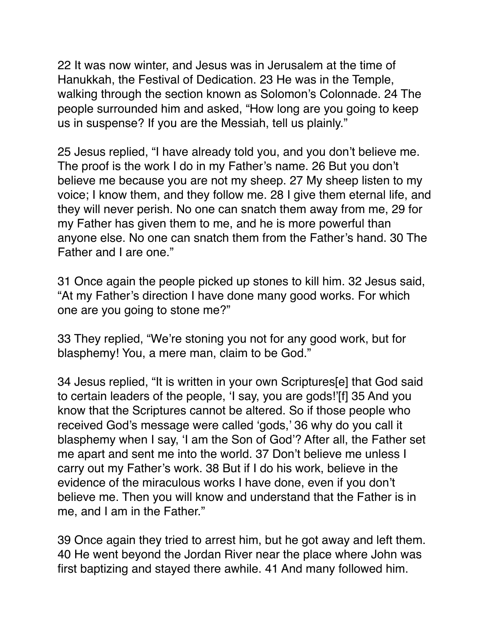22 It was now winter, and Jesus was in Jerusalem at the time of Hanukkah, the Festival of Dedication. 23 He was in the Temple, walking through the section known as Solomon's Colonnade. 24 The people surrounded him and asked, "How long are you going to keep us in suspense? If you are the Messiah, tell us plainly."

25 Jesus replied, "I have already told you, and you don't believe me. The proof is the work I do in my Father's name. 26 But you don't believe me because you are not my sheep. 27 My sheep listen to my voice; I know them, and they follow me. 28 I give them eternal life, and they will never perish. No one can snatch them away from me, 29 for my Father has given them to me, and he is more powerful than anyone else. No one can snatch them from the Father's hand. 30 The Father and I are one."

31 Once again the people picked up stones to kill him. 32 Jesus said, "At my Father's direction I have done many good works. For which one are you going to stone me?"

33 They replied, "We're stoning you not for any good work, but for blasphemy! You, a mere man, claim to be God."

34 Jesus replied, "It is written in your own Scriptures[e] that God said to certain leaders of the people, 'I say, you are gods!'[f] 35 And you know that the Scriptures cannot be altered. So if those people who received God's message were called 'gods,' 36 why do you call it blasphemy when I say, 'I am the Son of God'? After all, the Father set me apart and sent me into the world. 37 Don't believe me unless I carry out my Father's work. 38 But if I do his work, believe in the evidence of the miraculous works I have done, even if you don't believe me. Then you will know and understand that the Father is in me, and I am in the Father."

39 Once again they tried to arrest him, but he got away and left them. 40 He went beyond the Jordan River near the place where John was first baptizing and stayed there awhile. 41 And many followed him.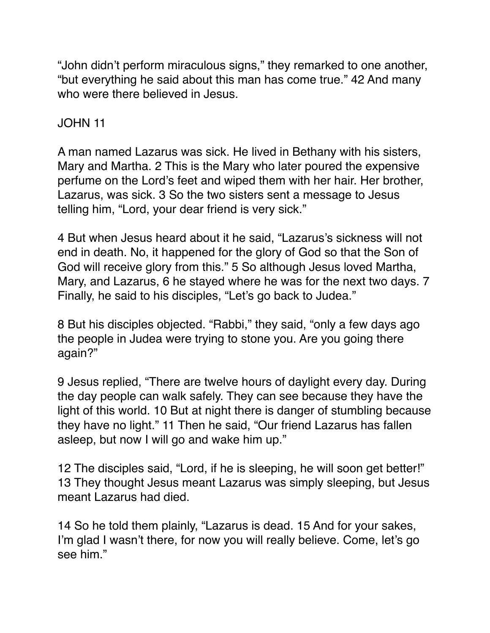"John didn't perform miraculous signs," they remarked to one another, "but everything he said about this man has come true." 42 And many who were there believed in Jesus.

# JOHN 11

A man named Lazarus was sick. He lived in Bethany with his sisters, Mary and Martha. 2 This is the Mary who later poured the expensive perfume on the Lord's feet and wiped them with her hair. Her brother, Lazarus, was sick. 3 So the two sisters sent a message to Jesus telling him, "Lord, your dear friend is very sick."

4 But when Jesus heard about it he said, "Lazarus's sickness will not end in death. No, it happened for the glory of God so that the Son of God will receive glory from this." 5 So although Jesus loved Martha, Mary, and Lazarus, 6 he stayed where he was for the next two days. 7 Finally, he said to his disciples, "Let's go back to Judea."

8 But his disciples objected. "Rabbi," they said, "only a few days ago the people in Judea were trying to stone you. Are you going there again?"

9 Jesus replied, "There are twelve hours of daylight every day. During the day people can walk safely. They can see because they have the light of this world. 10 But at night there is danger of stumbling because they have no light." 11 Then he said, "Our friend Lazarus has fallen asleep, but now I will go and wake him up."

12 The disciples said, "Lord, if he is sleeping, he will soon get better!" 13 They thought Jesus meant Lazarus was simply sleeping, but Jesus meant Lazarus had died.

14 So he told them plainly, "Lazarus is dead. 15 And for your sakes, I'm glad I wasn't there, for now you will really believe. Come, let's go see him."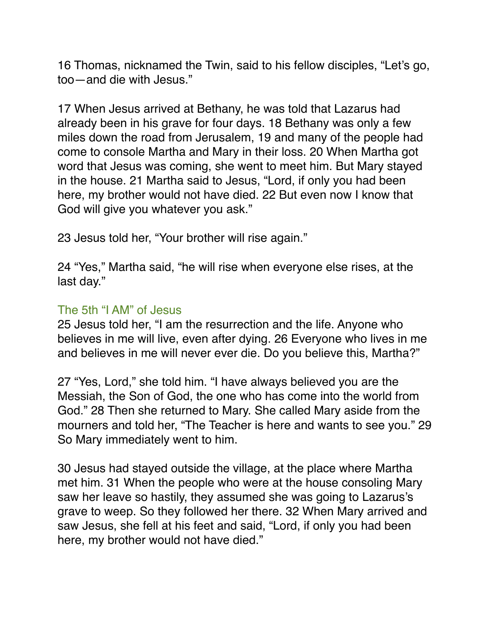16 Thomas, nicknamed the Twin, said to his fellow disciples, "Let's go, too—and die with Jesus."

17 When Jesus arrived at Bethany, he was told that Lazarus had already been in his grave for four days. 18 Bethany was only a few miles down the road from Jerusalem, 19 and many of the people had come to console Martha and Mary in their loss. 20 When Martha got word that Jesus was coming, she went to meet him. But Mary stayed in the house. 21 Martha said to Jesus, "Lord, if only you had been here, my brother would not have died. 22 But even now I know that God will give you whatever you ask."

23 Jesus told her, "Your brother will rise again."

24 "Yes," Martha said, "he will rise when everyone else rises, at the last day."

#### The 5th "I AM" of Jesus

25 Jesus told her, "I am the resurrection and the life. Anyone who believes in me will live, even after dying. 26 Everyone who lives in me and believes in me will never ever die. Do you believe this, Martha?"

27 "Yes, Lord," she told him. "I have always believed you are the Messiah, the Son of God, the one who has come into the world from God." 28 Then she returned to Mary. She called Mary aside from the mourners and told her, "The Teacher is here and wants to see you." 29 So Mary immediately went to him.

30 Jesus had stayed outside the village, at the place where Martha met him. 31 When the people who were at the house consoling Mary saw her leave so hastily, they assumed she was going to Lazarus's grave to weep. So they followed her there. 32 When Mary arrived and saw Jesus, she fell at his feet and said, "Lord, if only you had been here, my brother would not have died."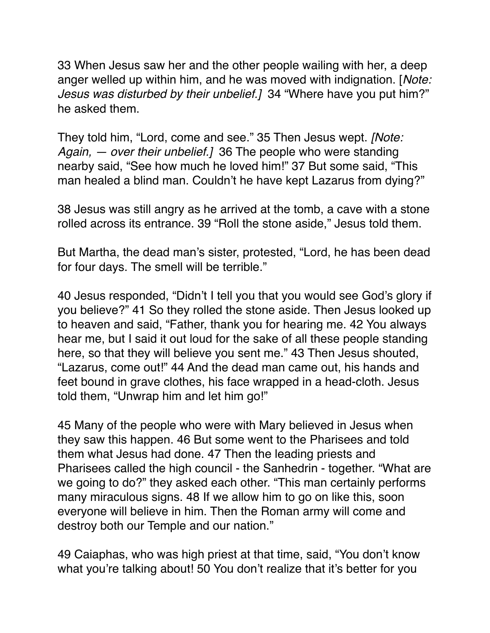33 When Jesus saw her and the other people wailing with her, a deep anger welled up within him, and he was moved with indignation. [*Note: Jesus was disturbed by their unbelief.]* 34 "Where have you put him?" he asked them.

They told him, "Lord, come and see." 35 Then Jesus wept. *[Note: Again, — over their unbelief.]* 36 The people who were standing nearby said, "See how much he loved him!" 37 But some said, "This man healed a blind man. Couldn't he have kept Lazarus from dying?"

38 Jesus was still angry as he arrived at the tomb, a cave with a stone rolled across its entrance. 39 "Roll the stone aside," Jesus told them.

But Martha, the dead man's sister, protested, "Lord, he has been dead for four days. The smell will be terrible."

40 Jesus responded, "Didn't I tell you that you would see God's glory if you believe?" 41 So they rolled the stone aside. Then Jesus looked up to heaven and said, "Father, thank you for hearing me. 42 You always hear me, but I said it out loud for the sake of all these people standing here, so that they will believe you sent me." 43 Then Jesus shouted, "Lazarus, come out!" 44 And the dead man came out, his hands and feet bound in grave clothes, his face wrapped in a head-cloth. Jesus told them, "Unwrap him and let him go!"

45 Many of the people who were with Mary believed in Jesus when they saw this happen. 46 But some went to the Pharisees and told them what Jesus had done. 47 Then the leading priests and Pharisees called the high council - the Sanhedrin - together. "What are we going to do?" they asked each other. "This man certainly performs many miraculous signs. 48 If we allow him to go on like this, soon everyone will believe in him. Then the Roman army will come and destroy both our Temple and our nation."

49 Caiaphas, who was high priest at that time, said, "You don't know what you're talking about! 50 You don't realize that it's better for you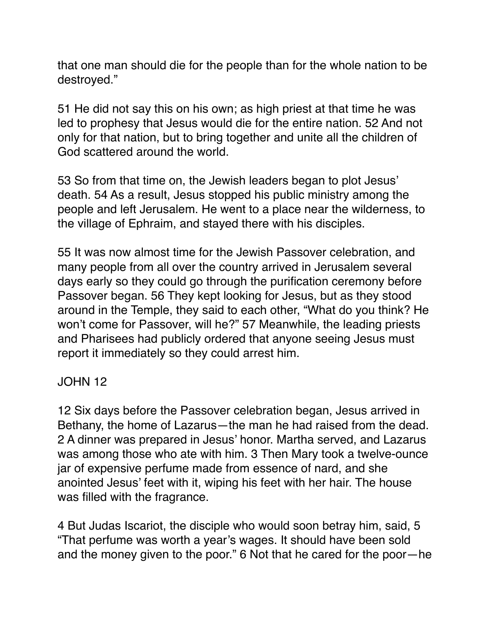that one man should die for the people than for the whole nation to be destroyed."

51 He did not say this on his own; as high priest at that time he was led to prophesy that Jesus would die for the entire nation. 52 And not only for that nation, but to bring together and unite all the children of God scattered around the world.

53 So from that time on, the Jewish leaders began to plot Jesus' death. 54 As a result, Jesus stopped his public ministry among the people and left Jerusalem. He went to a place near the wilderness, to the village of Ephraim, and stayed there with his disciples.

55 It was now almost time for the Jewish Passover celebration, and many people from all over the country arrived in Jerusalem several days early so they could go through the purification ceremony before Passover began. 56 They kept looking for Jesus, but as they stood around in the Temple, they said to each other, "What do you think? He won't come for Passover, will he?" 57 Meanwhile, the leading priests and Pharisees had publicly ordered that anyone seeing Jesus must report it immediately so they could arrest him.

# JOHN 12

12 Six days before the Passover celebration began, Jesus arrived in Bethany, the home of Lazarus—the man he had raised from the dead. 2 A dinner was prepared in Jesus' honor. Martha served, and Lazarus was among those who ate with him. 3 Then Mary took a twelve-ounce jar of expensive perfume made from essence of nard, and she anointed Jesus' feet with it, wiping his feet with her hair. The house was filled with the fragrance.

4 But Judas Iscariot, the disciple who would soon betray him, said, 5 "That perfume was worth a year's wages. It should have been sold and the money given to the poor." 6 Not that he cared for the poor—he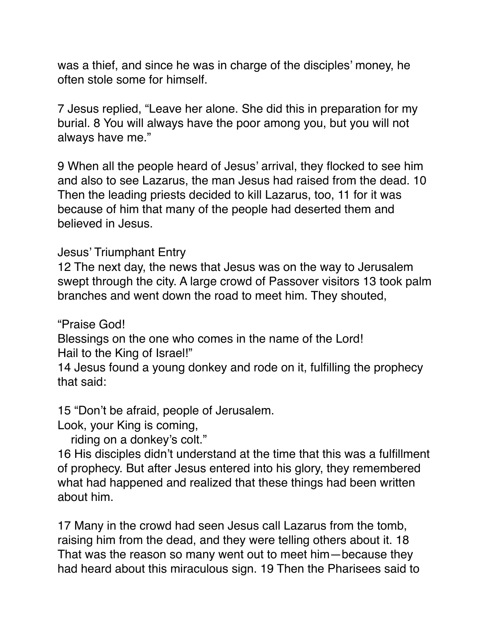was a thief, and since he was in charge of the disciples' money, he often stole some for himself.

7 Jesus replied, "Leave her alone. She did this in preparation for my burial. 8 You will always have the poor among you, but you will not always have me."

9 When all the people heard of Jesus' arrival, they flocked to see him and also to see Lazarus, the man Jesus had raised from the dead. 10 Then the leading priests decided to kill Lazarus, too, 11 for it was because of him that many of the people had deserted them and believed in Jesus.

Jesus' Triumphant Entry

12 The next day, the news that Jesus was on the way to Jerusalem swept through the city. A large crowd of Passover visitors 13 took palm branches and went down the road to meet him. They shouted,

"Praise God!

Blessings on the one who comes in the name of the Lord! Hail to the King of Israel!"

14 Jesus found a young donkey and rode on it, fulfilling the prophecy that said:

15 "Don't be afraid, people of Jerusalem.

Look, your King is coming,

riding on a donkey's colt."

16 His disciples didn't understand at the time that this was a fulfillment of prophecy. But after Jesus entered into his glory, they remembered what had happened and realized that these things had been written about him.

17 Many in the crowd had seen Jesus call Lazarus from the tomb, raising him from the dead, and they were telling others about it. 18 That was the reason so many went out to meet him—because they had heard about this miraculous sign. 19 Then the Pharisees said to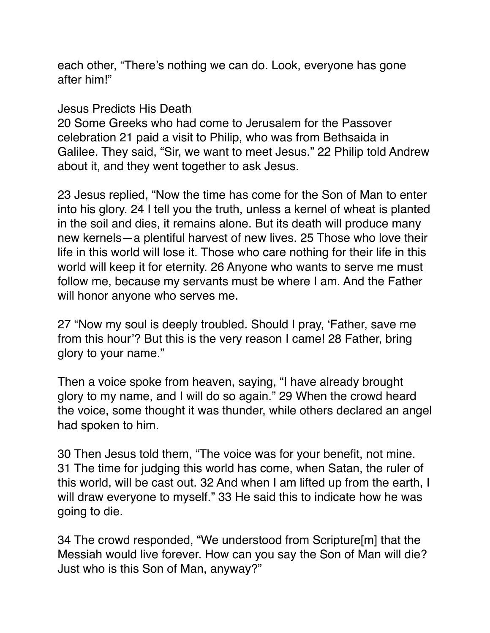each other, "There's nothing we can do. Look, everyone has gone after him!"

#### Jesus Predicts His Death

20 Some Greeks who had come to Jerusalem for the Passover celebration 21 paid a visit to Philip, who was from Bethsaida in Galilee. They said, "Sir, we want to meet Jesus." 22 Philip told Andrew about it, and they went together to ask Jesus.

23 Jesus replied, "Now the time has come for the Son of Man to enter into his glory. 24 I tell you the truth, unless a kernel of wheat is planted in the soil and dies, it remains alone. But its death will produce many new kernels—a plentiful harvest of new lives. 25 Those who love their life in this world will lose it. Those who care nothing for their life in this world will keep it for eternity. 26 Anyone who wants to serve me must follow me, because my servants must be where I am. And the Father will honor anyone who serves me.

27 "Now my soul is deeply troubled. Should I pray, 'Father, save me from this hour'? But this is the very reason I came! 28 Father, bring glory to your name."

Then a voice spoke from heaven, saying, "I have already brought glory to my name, and I will do so again." 29 When the crowd heard the voice, some thought it was thunder, while others declared an angel had spoken to him.

30 Then Jesus told them, "The voice was for your benefit, not mine. 31 The time for judging this world has come, when Satan, the ruler of this world, will be cast out. 32 And when I am lifted up from the earth, I will draw everyone to myself." 33 He said this to indicate how he was going to die.

34 The crowd responded, "We understood from Scripture[m] that the Messiah would live forever. How can you say the Son of Man will die? Just who is this Son of Man, anyway?"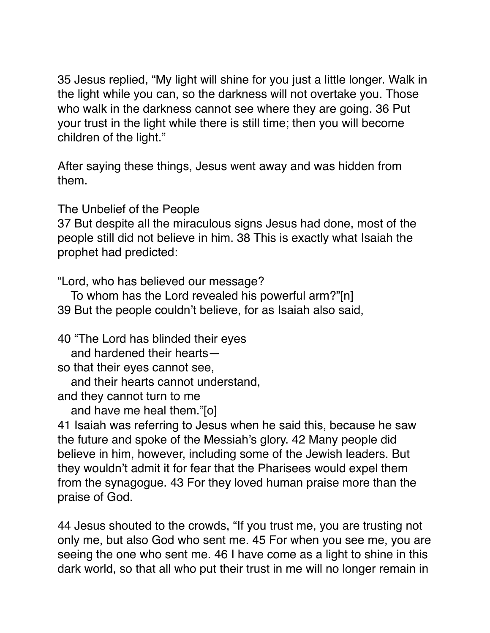35 Jesus replied, "My light will shine for you just a little longer. Walk in the light while you can, so the darkness will not overtake you. Those who walk in the darkness cannot see where they are going. 36 Put your trust in the light while there is still time; then you will become children of the light."

After saying these things, Jesus went away and was hidden from them.

The Unbelief of the People

37 But despite all the miraculous signs Jesus had done, most of the people still did not believe in him. 38 This is exactly what Isaiah the prophet had predicted:

"Lord, who has believed our message?

 To whom has the Lord revealed his powerful arm?"[n] 39 But the people couldn't believe, for as Isaiah also said,

40 "The Lord has blinded their eyes

and hardened their hearts—

so that their eyes cannot see,

and their hearts cannot understand,

and they cannot turn to me

and have me heal them."[o]

41 Isaiah was referring to Jesus when he said this, because he saw the future and spoke of the Messiah's glory. 42 Many people did believe in him, however, including some of the Jewish leaders. But they wouldn't admit it for fear that the Pharisees would expel them from the synagogue. 43 For they loved human praise more than the praise of God.

44 Jesus shouted to the crowds, "If you trust me, you are trusting not only me, but also God who sent me. 45 For when you see me, you are seeing the one who sent me. 46 I have come as a light to shine in this dark world, so that all who put their trust in me will no longer remain in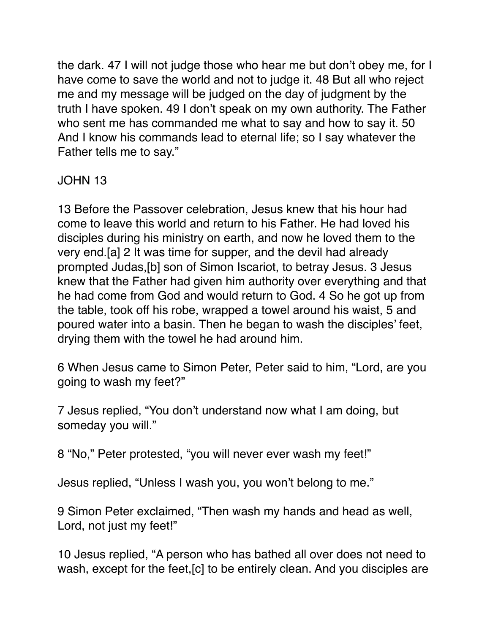the dark. 47 I will not judge those who hear me but don't obey me, for I have come to save the world and not to judge it. 48 But all who reject me and my message will be judged on the day of judgment by the truth I have spoken. 49 I don't speak on my own authority. The Father who sent me has commanded me what to say and how to say it. 50 And I know his commands lead to eternal life; so I say whatever the Father tells me to say."

# JOHN 13

13 Before the Passover celebration, Jesus knew that his hour had come to leave this world and return to his Father. He had loved his disciples during his ministry on earth, and now he loved them to the very end.[a] 2 It was time for supper, and the devil had already prompted Judas,[b] son of Simon Iscariot, to betray Jesus. 3 Jesus knew that the Father had given him authority over everything and that he had come from God and would return to God. 4 So he got up from the table, took off his robe, wrapped a towel around his waist, 5 and poured water into a basin. Then he began to wash the disciples' feet, drying them with the towel he had around him.

6 When Jesus came to Simon Peter, Peter said to him, "Lord, are you going to wash my feet?"

7 Jesus replied, "You don't understand now what I am doing, but someday you will."

8 "No," Peter protested, "you will never ever wash my feet!"

Jesus replied, "Unless I wash you, you won't belong to me."

9 Simon Peter exclaimed, "Then wash my hands and head as well, Lord, not just my feet!"

10 Jesus replied, "A person who has bathed all over does not need to wash, except for the feet,[c] to be entirely clean. And you disciples are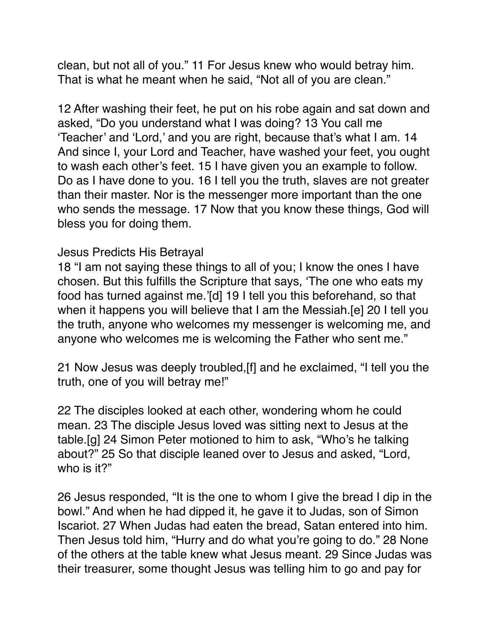clean, but not all of you." 11 For Jesus knew who would betray him. That is what he meant when he said, "Not all of you are clean."

12 After washing their feet, he put on his robe again and sat down and asked, "Do you understand what I was doing? 13 You call me 'Teacher' and 'Lord,' and you are right, because that's what I am. 14 And since I, your Lord and Teacher, have washed your feet, you ought to wash each other's feet. 15 I have given you an example to follow. Do as I have done to you. 16 I tell you the truth, slaves are not greater than their master. Nor is the messenger more important than the one who sends the message. 17 Now that you know these things, God will bless you for doing them.

#### Jesus Predicts His Betrayal

18 "I am not saying these things to all of you; I know the ones I have chosen. But this fulfills the Scripture that says, 'The one who eats my food has turned against me.'[d] 19 I tell you this beforehand, so that when it happens you will believe that I am the Messiah.[e] 20 I tell you the truth, anyone who welcomes my messenger is welcoming me, and anyone who welcomes me is welcoming the Father who sent me."

21 Now Jesus was deeply troubled,[f] and he exclaimed, "I tell you the truth, one of you will betray me!"

22 The disciples looked at each other, wondering whom he could mean. 23 The disciple Jesus loved was sitting next to Jesus at the table.[g] 24 Simon Peter motioned to him to ask, "Who's he talking about?" 25 So that disciple leaned over to Jesus and asked, "Lord, who is it?"

26 Jesus responded, "It is the one to whom I give the bread I dip in the bowl." And when he had dipped it, he gave it to Judas, son of Simon Iscariot. 27 When Judas had eaten the bread, Satan entered into him. Then Jesus told him, "Hurry and do what you're going to do." 28 None of the others at the table knew what Jesus meant. 29 Since Judas was their treasurer, some thought Jesus was telling him to go and pay for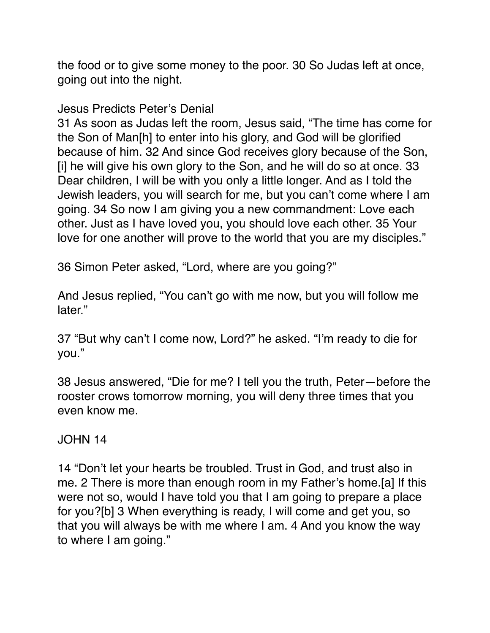the food or to give some money to the poor. 30 So Judas left at once, going out into the night.

Jesus Predicts Peter's Denial

31 As soon as Judas left the room, Jesus said, "The time has come for the Son of Man[h] to enter into his glory, and God will be glorified because of him. 32 And since God receives glory because of the Son, [i] he will give his own glory to the Son, and he will do so at once. 33 Dear children, I will be with you only a little longer. And as I told the Jewish leaders, you will search for me, but you can't come where I am going. 34 So now I am giving you a new commandment: Love each other. Just as I have loved you, you should love each other. 35 Your love for one another will prove to the world that you are my disciples."

36 Simon Peter asked, "Lord, where are you going?"

And Jesus replied, "You can't go with me now, but you will follow me later."

37 "But why can't I come now, Lord?" he asked. "I'm ready to die for you."

38 Jesus answered, "Die for me? I tell you the truth, Peter—before the rooster crows tomorrow morning, you will deny three times that you even know me.

# JOHN 14

14 "Don't let your hearts be troubled. Trust in God, and trust also in me. 2 There is more than enough room in my Father's home.[a] If this were not so, would I have told you that I am going to prepare a place for you?[b] 3 When everything is ready, I will come and get you, so that you will always be with me where I am. 4 And you know the way to where I am going."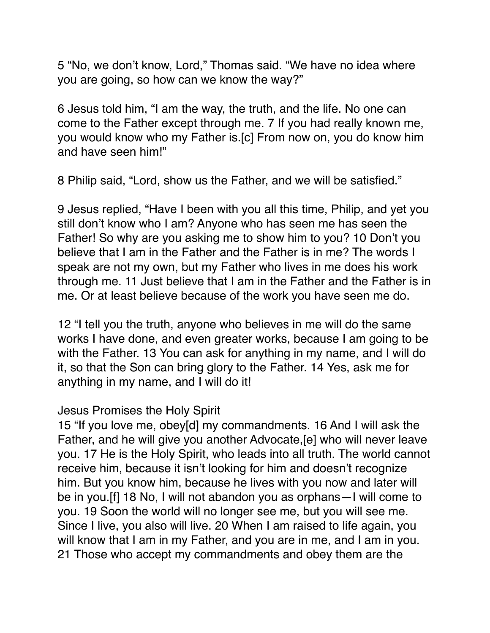5 "No, we don't know, Lord," Thomas said. "We have no idea where you are going, so how can we know the way?"

6 Jesus told him, "I am the way, the truth, and the life. No one can come to the Father except through me. 7 If you had really known me, you would know who my Father is.[c] From now on, you do know him and have seen him!"

8 Philip said, "Lord, show us the Father, and we will be satisfied."

9 Jesus replied, "Have I been with you all this time, Philip, and yet you still don't know who I am? Anyone who has seen me has seen the Father! So why are you asking me to show him to you? 10 Don't you believe that I am in the Father and the Father is in me? The words I speak are not my own, but my Father who lives in me does his work through me. 11 Just believe that I am in the Father and the Father is in me. Or at least believe because of the work you have seen me do.

12 "I tell you the truth, anyone who believes in me will do the same works I have done, and even greater works, because I am going to be with the Father. 13 You can ask for anything in my name, and I will do it, so that the Son can bring glory to the Father. 14 Yes, ask me for anything in my name, and I will do it!

## Jesus Promises the Holy Spirit

15 "If you love me, obey[d] my commandments. 16 And I will ask the Father, and he will give you another Advocate,[e] who will never leave you. 17 He is the Holy Spirit, who leads into all truth. The world cannot receive him, because it isn't looking for him and doesn't recognize him. But you know him, because he lives with you now and later will be in you.[f] 18 No, I will not abandon you as orphans—I will come to you. 19 Soon the world will no longer see me, but you will see me. Since I live, you also will live. 20 When I am raised to life again, you will know that I am in my Father, and you are in me, and I am in you. 21 Those who accept my commandments and obey them are the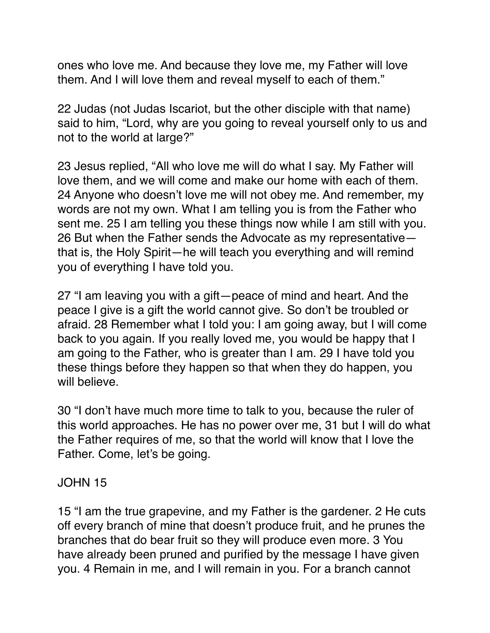ones who love me. And because they love me, my Father will love them. And I will love them and reveal myself to each of them."

22 Judas (not Judas Iscariot, but the other disciple with that name) said to him, "Lord, why are you going to reveal yourself only to us and not to the world at large?"

23 Jesus replied, "All who love me will do what I say. My Father will love them, and we will come and make our home with each of them. 24 Anyone who doesn't love me will not obey me. And remember, my words are not my own. What I am telling you is from the Father who sent me. 25 I am telling you these things now while I am still with you. 26 But when the Father sends the Advocate as my representative that is, the Holy Spirit—he will teach you everything and will remind you of everything I have told you.

27 "I am leaving you with a gift—peace of mind and heart. And the peace I give is a gift the world cannot give. So don't be troubled or afraid. 28 Remember what I told you: I am going away, but I will come back to you again. If you really loved me, you would be happy that I am going to the Father, who is greater than I am. 29 I have told you these things before they happen so that when they do happen, you will believe.

30 "I don't have much more time to talk to you, because the ruler of this world approaches. He has no power over me, 31 but I will do what the Father requires of me, so that the world will know that I love the Father. Come, let's be going.

## JOHN 15

15 "I am the true grapevine, and my Father is the gardener. 2 He cuts off every branch of mine that doesn't produce fruit, and he prunes the branches that do bear fruit so they will produce even more. 3 You have already been pruned and purified by the message I have given you. 4 Remain in me, and I will remain in you. For a branch cannot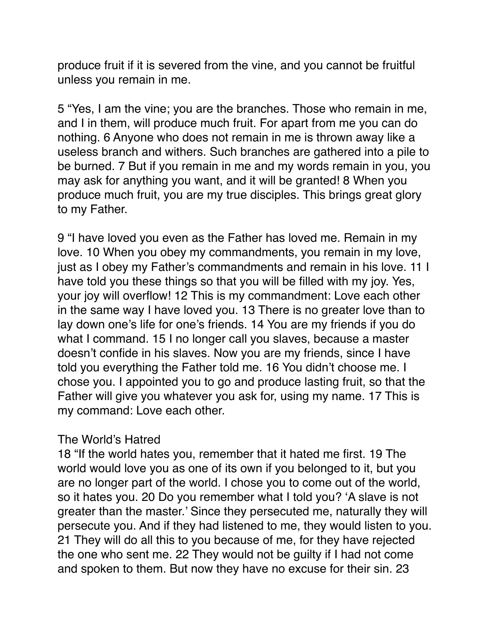produce fruit if it is severed from the vine, and you cannot be fruitful unless you remain in me.

5 "Yes, I am the vine; you are the branches. Those who remain in me, and I in them, will produce much fruit. For apart from me you can do nothing. 6 Anyone who does not remain in me is thrown away like a useless branch and withers. Such branches are gathered into a pile to be burned. 7 But if you remain in me and my words remain in you, you may ask for anything you want, and it will be granted! 8 When you produce much fruit, you are my true disciples. This brings great glory to my Father.

9 "I have loved you even as the Father has loved me. Remain in my love. 10 When you obey my commandments, you remain in my love, just as I obey my Father's commandments and remain in his love. 11 I have told you these things so that you will be filled with my joy. Yes, your joy will overflow! 12 This is my commandment: Love each other in the same way I have loved you. 13 There is no greater love than to lay down one's life for one's friends. 14 You are my friends if you do what I command. 15 I no longer call you slaves, because a master doesn't confide in his slaves. Now you are my friends, since I have told you everything the Father told me. 16 You didn't choose me. I chose you. I appointed you to go and produce lasting fruit, so that the Father will give you whatever you ask for, using my name. 17 This is my command: Love each other.

# The World's Hatred

18 "If the world hates you, remember that it hated me first. 19 The world would love you as one of its own if you belonged to it, but you are no longer part of the world. I chose you to come out of the world, so it hates you. 20 Do you remember what I told you? 'A slave is not greater than the master.' Since they persecuted me, naturally they will persecute you. And if they had listened to me, they would listen to you. 21 They will do all this to you because of me, for they have rejected the one who sent me. 22 They would not be guilty if I had not come and spoken to them. But now they have no excuse for their sin. 23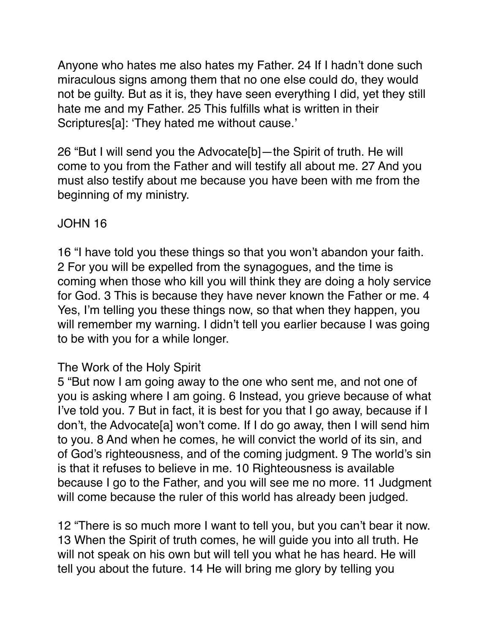Anyone who hates me also hates my Father. 24 If I hadn't done such miraculous signs among them that no one else could do, they would not be guilty. But as it is, they have seen everything I did, yet they still hate me and my Father. 25 This fulfills what is written in their Scriptures[a]: 'They hated me without cause.'

26 "But I will send you the Advocate[b]—the Spirit of truth. He will come to you from the Father and will testify all about me. 27 And you must also testify about me because you have been with me from the beginning of my ministry.

## JOHN 16

16 "I have told you these things so that you won't abandon your faith. 2 For you will be expelled from the synagogues, and the time is coming when those who kill you will think they are doing a holy service for God. 3 This is because they have never known the Father or me. 4 Yes, I'm telling you these things now, so that when they happen, you will remember my warning. I didn't tell you earlier because I was going to be with you for a while longer.

## The Work of the Holy Spirit

5 "But now I am going away to the one who sent me, and not one of you is asking where I am going. 6 Instead, you grieve because of what I've told you. 7 But in fact, it is best for you that I go away, because if I don't, the Advocate[a] won't come. If I do go away, then I will send him to you. 8 And when he comes, he will convict the world of its sin, and of God's righteousness, and of the coming judgment. 9 The world's sin is that it refuses to believe in me. 10 Righteousness is available because I go to the Father, and you will see me no more. 11 Judgment will come because the ruler of this world has already been judged.

12 "There is so much more I want to tell you, but you can't bear it now. 13 When the Spirit of truth comes, he will guide you into all truth. He will not speak on his own but will tell you what he has heard. He will tell you about the future. 14 He will bring me glory by telling you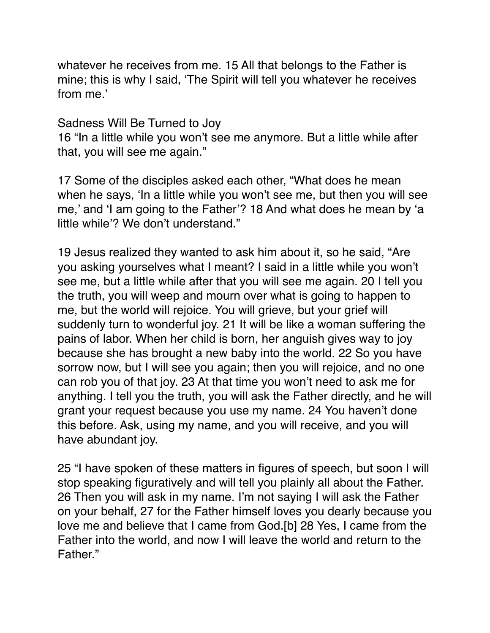whatever he receives from me. 15 All that belongs to the Father is mine; this is why I said, 'The Spirit will tell you whatever he receives from me.'

Sadness Will Be Turned to Joy

16 "In a little while you won't see me anymore. But a little while after that, you will see me again."

17 Some of the disciples asked each other, "What does he mean when he says, 'In a little while you won't see me, but then you will see me,' and 'I am going to the Father'? 18 And what does he mean by 'a little while'? We don't understand."

19 Jesus realized they wanted to ask him about it, so he said, "Are you asking yourselves what I meant? I said in a little while you won't see me, but a little while after that you will see me again. 20 I tell you the truth, you will weep and mourn over what is going to happen to me, but the world will rejoice. You will grieve, but your grief will suddenly turn to wonderful joy. 21 It will be like a woman suffering the pains of labor. When her child is born, her anguish gives way to joy because she has brought a new baby into the world. 22 So you have sorrow now, but I will see you again; then you will rejoice, and no one can rob you of that joy. 23 At that time you won't need to ask me for anything. I tell you the truth, you will ask the Father directly, and he will grant your request because you use my name. 24 You haven't done this before. Ask, using my name, and you will receive, and you will have abundant joy.

25 "I have spoken of these matters in figures of speech, but soon I will stop speaking figuratively and will tell you plainly all about the Father. 26 Then you will ask in my name. I'm not saying I will ask the Father on your behalf, 27 for the Father himself loves you dearly because you love me and believe that I came from God.[b] 28 Yes, I came from the Father into the world, and now I will leave the world and return to the Father."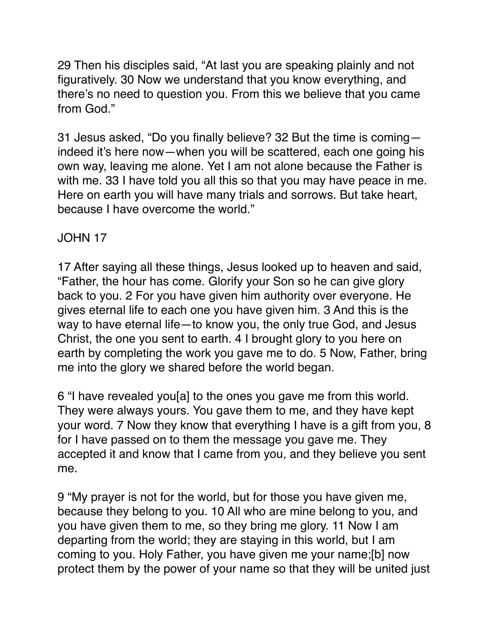29 Then his disciples said, "At last you are speaking plainly and not figuratively. 30 Now we understand that you know everything, and there's no need to question you. From this we believe that you came from God."

31 Jesus asked, "Do you finally believe? 32 But the time is coming indeed it's here now—when you will be scattered, each one going his own way, leaving me alone. Yet I am not alone because the Father is with me. 33 I have told you all this so that you may have peace in me. Here on earth you will have many trials and sorrows. But take heart, because I have overcome the world."

# JOHN 17

17 After saying all these things, Jesus looked up to heaven and said, "Father, the hour has come. Glorify your Son so he can give glory back to you. 2 For you have given him authority over everyone. He gives eternal life to each one you have given him. 3 And this is the way to have eternal life—to know you, the only true God, and Jesus Christ, the one you sent to earth. 4 I brought glory to you here on earth by completing the work you gave me to do. 5 Now, Father, bring me into the glory we shared before the world began.

6 "I have revealed you[a] to the ones you gave me from this world. They were always yours. You gave them to me, and they have kept your word. 7 Now they know that everything I have is a gift from you, 8 for I have passed on to them the message you gave me. They accepted it and know that I came from you, and they believe you sent me.

9 "My prayer is not for the world, but for those you have given me, because they belong to you. 10 All who are mine belong to you, and you have given them to me, so they bring me glory. 11 Now I am departing from the world; they are staying in this world, but I am coming to you. Holy Father, you have given me your name;[b] now protect them by the power of your name so that they will be united just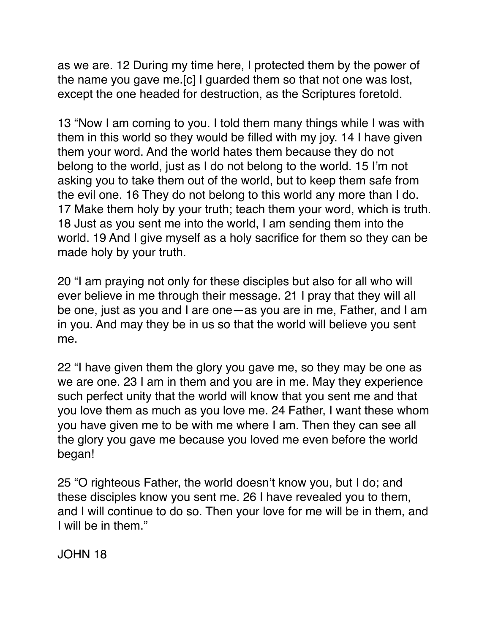as we are. 12 During my time here, I protected them by the power of the name you gave me.[c] I guarded them so that not one was lost, except the one headed for destruction, as the Scriptures foretold.

13 "Now I am coming to you. I told them many things while I was with them in this world so they would be filled with my joy. 14 I have given them your word. And the world hates them because they do not belong to the world, just as I do not belong to the world. 15 I'm not asking you to take them out of the world, but to keep them safe from the evil one. 16 They do not belong to this world any more than I do. 17 Make them holy by your truth; teach them your word, which is truth. 18 Just as you sent me into the world, I am sending them into the world. 19 And I give myself as a holy sacrifice for them so they can be made holy by your truth.

20 "I am praying not only for these disciples but also for all who will ever believe in me through their message. 21 I pray that they will all be one, just as you and I are one—as you are in me, Father, and I am in you. And may they be in us so that the world will believe you sent me.

22 "I have given them the glory you gave me, so they may be one as we are one. 23 I am in them and you are in me. May they experience such perfect unity that the world will know that you sent me and that you love them as much as you love me. 24 Father, I want these whom you have given me to be with me where I am. Then they can see all the glory you gave me because you loved me even before the world began!

25 "O righteous Father, the world doesn't know you, but I do; and these disciples know you sent me. 26 I have revealed you to them, and I will continue to do so. Then your love for me will be in them, and I will be in them."

JOHN 18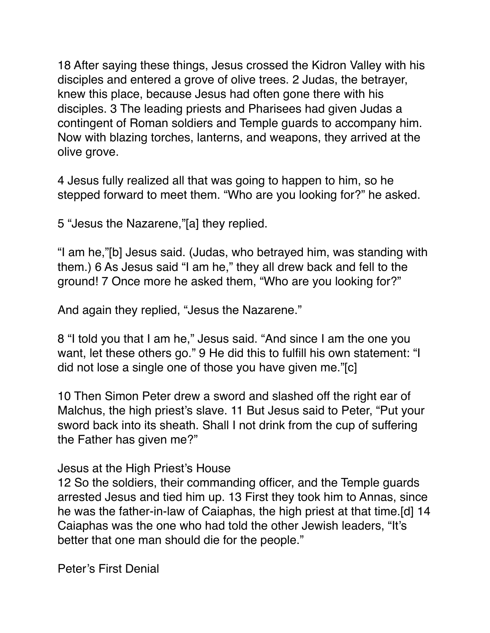18 After saying these things, Jesus crossed the Kidron Valley with his disciples and entered a grove of olive trees. 2 Judas, the betrayer, knew this place, because Jesus had often gone there with his disciples. 3 The leading priests and Pharisees had given Judas a contingent of Roman soldiers and Temple guards to accompany him. Now with blazing torches, lanterns, and weapons, they arrived at the olive grove.

4 Jesus fully realized all that was going to happen to him, so he stepped forward to meet them. "Who are you looking for?" he asked.

5 "Jesus the Nazarene,"[a] they replied.

"I am he,"[b] Jesus said. (Judas, who betrayed him, was standing with them.) 6 As Jesus said "I am he," they all drew back and fell to the ground! 7 Once more he asked them, "Who are you looking for?"

And again they replied, "Jesus the Nazarene."

8 "I told you that I am he," Jesus said. "And since I am the one you want, let these others go." 9 He did this to fulfill his own statement: "I did not lose a single one of those you have given me."[c]

10 Then Simon Peter drew a sword and slashed off the right ear of Malchus, the high priest's slave. 11 But Jesus said to Peter, "Put your sword back into its sheath. Shall I not drink from the cup of suffering the Father has given me?"

Jesus at the High Priest's House

12 So the soldiers, their commanding officer, and the Temple guards arrested Jesus and tied him up. 13 First they took him to Annas, since he was the father-in-law of Caiaphas, the high priest at that time.[d] 14 Caiaphas was the one who had told the other Jewish leaders, "It's better that one man should die for the people."

Peter's First Denial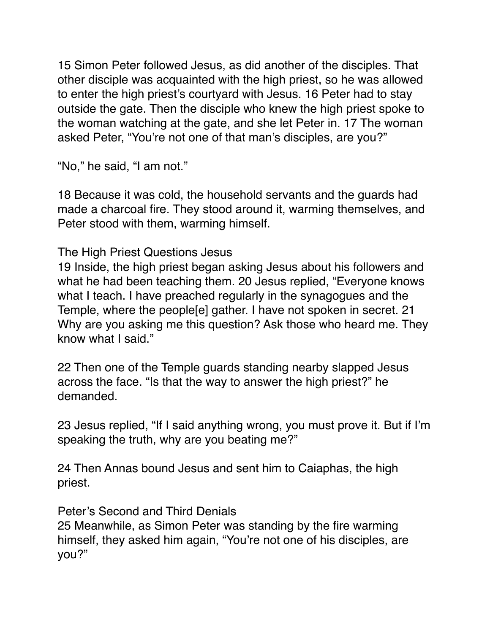15 Simon Peter followed Jesus, as did another of the disciples. That other disciple was acquainted with the high priest, so he was allowed to enter the high priest's courtyard with Jesus. 16 Peter had to stay outside the gate. Then the disciple who knew the high priest spoke to the woman watching at the gate, and she let Peter in. 17 The woman asked Peter, "You're not one of that man's disciples, are you?"

"No," he said, "I am not."

18 Because it was cold, the household servants and the guards had made a charcoal fire. They stood around it, warming themselves, and Peter stood with them, warming himself.

The High Priest Questions Jesus

19 Inside, the high priest began asking Jesus about his followers and what he had been teaching them. 20 Jesus replied, "Everyone knows what I teach. I have preached regularly in the synagogues and the Temple, where the people[e] gather. I have not spoken in secret. 21 Why are you asking me this question? Ask those who heard me. They know what I said."

22 Then one of the Temple guards standing nearby slapped Jesus across the face. "Is that the way to answer the high priest?" he demanded.

23 Jesus replied, "If I said anything wrong, you must prove it. But if I'm speaking the truth, why are you beating me?"

24 Then Annas bound Jesus and sent him to Caiaphas, the high priest.

Peter's Second and Third Denials

25 Meanwhile, as Simon Peter was standing by the fire warming himself, they asked him again, "You're not one of his disciples, are you?"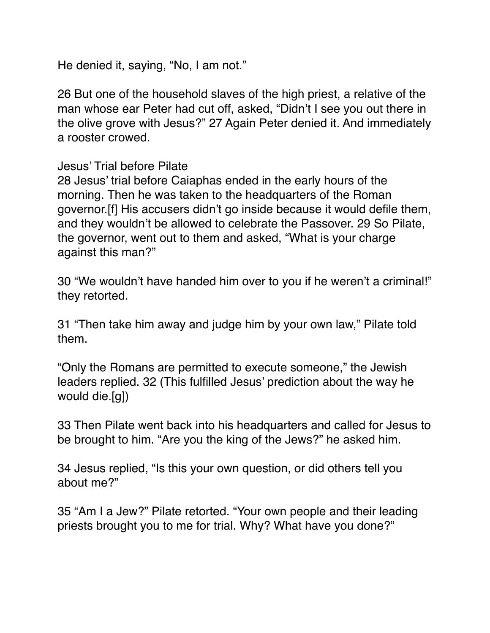He denied it, saying, "No, I am not."

26 But one of the household slaves of the high priest, a relative of the man whose ear Peter had cut off, asked, "Didn't I see you out there in the olive grove with Jesus?" 27 Again Peter denied it. And immediately a rooster crowed.

## Jesus' Trial before Pilate

28 Jesus' trial before Caiaphas ended in the early hours of the morning. Then he was taken to the headquarters of the Roman governor.[f] His accusers didn't go inside because it would defile them, and they wouldn't be allowed to celebrate the Passover. 29 So Pilate, the governor, went out to them and asked, "What is your charge against this man?"

30 "We wouldn't have handed him over to you if he weren't a criminal!" they retorted.

31 "Then take him away and judge him by your own law," Pilate told them.

"Only the Romans are permitted to execute someone," the Jewish leaders replied. 32 (This fulfilled Jesus' prediction about the way he would die.[g])

33 Then Pilate went back into his headquarters and called for Jesus to be brought to him. "Are you the king of the Jews?" he asked him.

34 Jesus replied, "Is this your own question, or did others tell you about me?"

35 "Am I a Jew?" Pilate retorted. "Your own people and their leading priests brought you to me for trial. Why? What have you done?"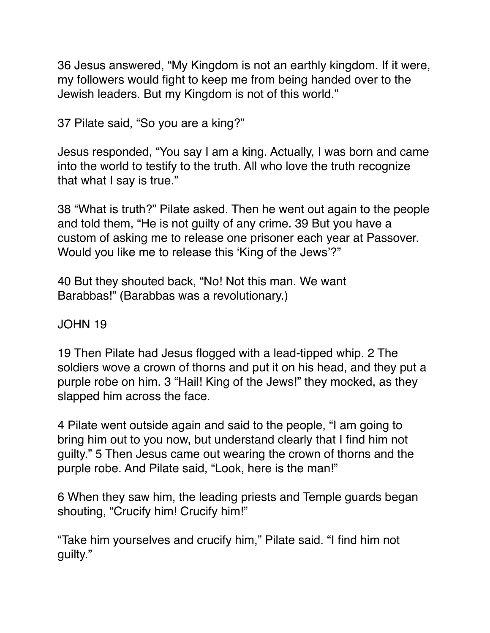36 Jesus answered, "My Kingdom is not an earthly kingdom. If it were, my followers would fight to keep me from being handed over to the Jewish leaders. But my Kingdom is not of this world."

37 Pilate said, "So you are a king?"

Jesus responded, "You say I am a king. Actually, I was born and came into the world to testify to the truth. All who love the truth recognize that what I say is true."

38 "What is truth?" Pilate asked. Then he went out again to the people and told them, "He is not guilty of any crime. 39 But you have a custom of asking me to release one prisoner each year at Passover. Would you like me to release this 'King of the Jews'?"

40 But they shouted back, "No! Not this man. We want Barabbas!" (Barabbas was a revolutionary.)

JOHN 19

19 Then Pilate had Jesus flogged with a lead-tipped whip. 2 The soldiers wove a crown of thorns and put it on his head, and they put a purple robe on him. 3 "Hail! King of the Jews!" they mocked, as they slapped him across the face.

4 Pilate went outside again and said to the people, "I am going to bring him out to you now, but understand clearly that I find him not guilty." 5 Then Jesus came out wearing the crown of thorns and the purple robe. And Pilate said, "Look, here is the man!"

6 When they saw him, the leading priests and Temple guards began shouting, "Crucify him! Crucify him!"

"Take him yourselves and crucify him," Pilate said. "I find him not guilty."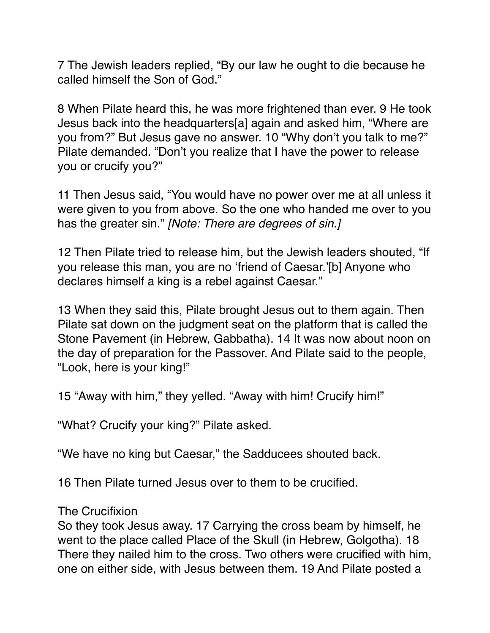7 The Jewish leaders replied, "By our law he ought to die because he called himself the Son of God."

8 When Pilate heard this, he was more frightened than ever. 9 He took Jesus back into the headquarters[a] again and asked him, "Where are you from?" But Jesus gave no answer. 10 "Why don't you talk to me?" Pilate demanded. "Don't you realize that I have the power to release you or crucify you?"

11 Then Jesus said, "You would have no power over me at all unless it were given to you from above. So the one who handed me over to you has the greater sin." *[Note: There are degrees of sin.]*

12 Then Pilate tried to release him, but the Jewish leaders shouted, "If you release this man, you are no 'friend of Caesar.'[b] Anyone who declares himself a king is a rebel against Caesar."

13 When they said this, Pilate brought Jesus out to them again. Then Pilate sat down on the judgment seat on the platform that is called the Stone Pavement (in Hebrew, Gabbatha). 14 It was now about noon on the day of preparation for the Passover. And Pilate said to the people, "Look, here is your king!"

15 "Away with him," they yelled. "Away with him! Crucify him!"

"What? Crucify your king?" Pilate asked.

"We have no king but Caesar," the Sadducees shouted back.

16 Then Pilate turned Jesus over to them to be crucified.

The Crucifixion

So they took Jesus away. 17 Carrying the cross beam by himself, he went to the place called Place of the Skull (in Hebrew, Golgotha). 18 There they nailed him to the cross. Two others were crucified with him, one on either side, with Jesus between them. 19 And Pilate posted a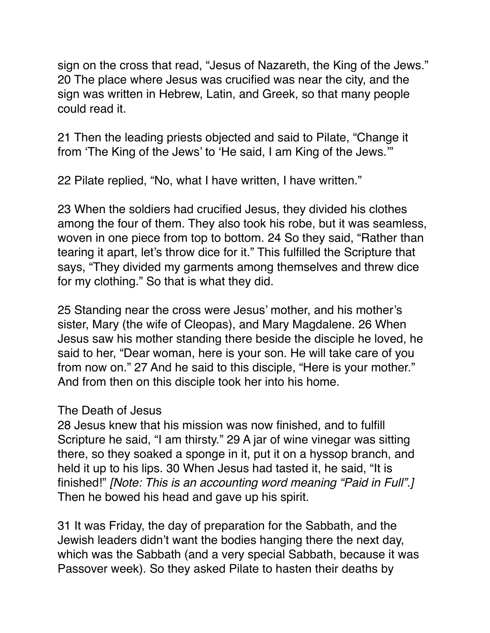sign on the cross that read, "Jesus of Nazareth, the King of the Jews." 20 The place where Jesus was crucified was near the city, and the sign was written in Hebrew, Latin, and Greek, so that many people could read it.

21 Then the leading priests objected and said to Pilate, "Change it from 'The King of the Jews' to 'He said, I am King of the Jews.'"

22 Pilate replied, "No, what I have written, I have written."

23 When the soldiers had crucified Jesus, they divided his clothes among the four of them. They also took his robe, but it was seamless, woven in one piece from top to bottom. 24 So they said, "Rather than tearing it apart, let's throw dice for it." This fulfilled the Scripture that says, "They divided my garments among themselves and threw dice for my clothing." So that is what they did.

25 Standing near the cross were Jesus' mother, and his mother's sister, Mary (the wife of Cleopas), and Mary Magdalene. 26 When Jesus saw his mother standing there beside the disciple he loved, he said to her, "Dear woman, here is your son. He will take care of you from now on." 27 And he said to this disciple, "Here is your mother." And from then on this disciple took her into his home.

## The Death of Jesus

28 Jesus knew that his mission was now finished, and to fulfill Scripture he said, "I am thirsty." 29 A jar of wine vinegar was sitting there, so they soaked a sponge in it, put it on a hyssop branch, and held it up to his lips. 30 When Jesus had tasted it, he said, "It is finished!" *[Note: This is an accounting word meaning "Paid in Full".]*  Then he bowed his head and gave up his spirit.

31 It was Friday, the day of preparation for the Sabbath, and the Jewish leaders didn't want the bodies hanging there the next day, which was the Sabbath (and a very special Sabbath, because it was Passover week). So they asked Pilate to hasten their deaths by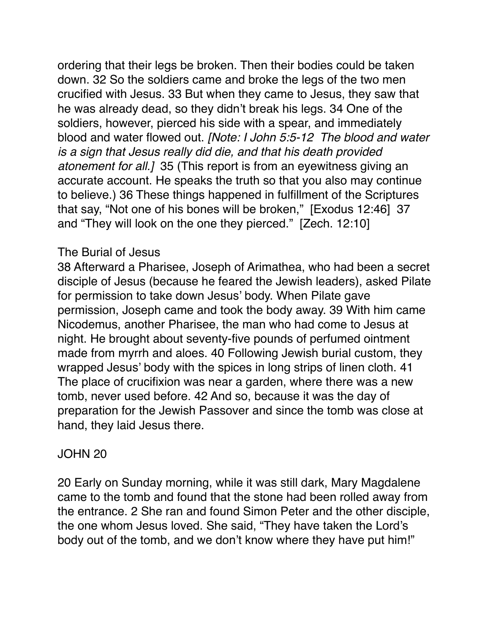ordering that their legs be broken. Then their bodies could be taken down. 32 So the soldiers came and broke the legs of the two men crucified with Jesus. 33 But when they came to Jesus, they saw that he was already dead, so they didn't break his legs. 34 One of the soldiers, however, pierced his side with a spear, and immediately blood and water flowed out. *[Note: I John 5:5-12 The blood and water is a sign that Jesus really did die, and that his death provided atonement for all.]* 35 (This report is from an eyewitness giving an accurate account. He speaks the truth so that you also may continue to believe.) 36 These things happened in fulfillment of the Scriptures that say, "Not one of his bones will be broken," [Exodus 12:46] 37 and "They will look on the one they pierced." [Zech. 12:10]

## The Burial of Jesus

38 Afterward a Pharisee, Joseph of Arimathea, who had been a secret disciple of Jesus (because he feared the Jewish leaders), asked Pilate for permission to take down Jesus' body. When Pilate gave permission, Joseph came and took the body away. 39 With him came Nicodemus, another Pharisee, the man who had come to Jesus at night. He brought about seventy-five pounds of perfumed ointment made from myrrh and aloes. 40 Following Jewish burial custom, they wrapped Jesus' body with the spices in long strips of linen cloth. 41 The place of crucifixion was near a garden, where there was a new tomb, never used before. 42 And so, because it was the day of preparation for the Jewish Passover and since the tomb was close at hand, they laid Jesus there.

# JOHN 20

20 Early on Sunday morning, while it was still dark, Mary Magdalene came to the tomb and found that the stone had been rolled away from the entrance. 2 She ran and found Simon Peter and the other disciple, the one whom Jesus loved. She said, "They have taken the Lord's body out of the tomb, and we don't know where they have put him!"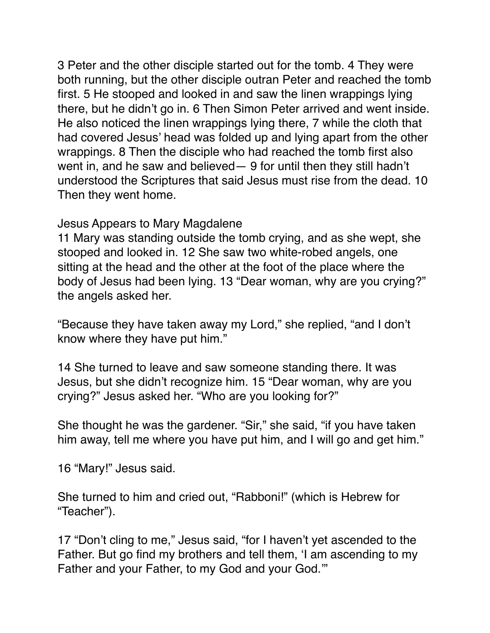3 Peter and the other disciple started out for the tomb. 4 They were both running, but the other disciple outran Peter and reached the tomb first. 5 He stooped and looked in and saw the linen wrappings lying there, but he didn't go in. 6 Then Simon Peter arrived and went inside. He also noticed the linen wrappings lying there, 7 while the cloth that had covered Jesus' head was folded up and lying apart from the other wrappings. 8 Then the disciple who had reached the tomb first also went in, and he saw and believed— 9 for until then they still hadn't understood the Scriptures that said Jesus must rise from the dead. 10 Then they went home.

Jesus Appears to Mary Magdalene

11 Mary was standing outside the tomb crying, and as she wept, she stooped and looked in. 12 She saw two white-robed angels, one sitting at the head and the other at the foot of the place where the body of Jesus had been lying. 13 "Dear woman, why are you crying?" the angels asked her.

"Because they have taken away my Lord," she replied, "and I don't know where they have put him."

14 She turned to leave and saw someone standing there. It was Jesus, but she didn't recognize him. 15 "Dear woman, why are you crying?" Jesus asked her. "Who are you looking for?"

She thought he was the gardener. "Sir," she said, "if you have taken him away, tell me where you have put him, and I will go and get him."

16 "Mary!" Jesus said.

She turned to him and cried out, "Rabboni!" (which is Hebrew for "Teacher").

17 "Don't cling to me," Jesus said, "for I haven't yet ascended to the Father. But go find my brothers and tell them, 'I am ascending to my Father and your Father, to my God and your God.'"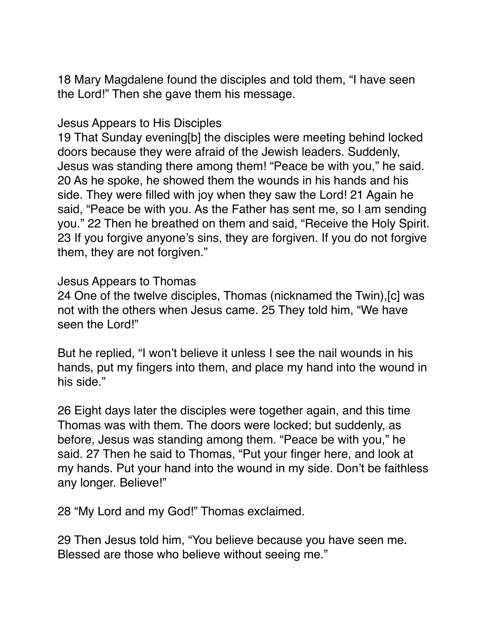18 Mary Magdalene found the disciples and told them, "I have seen the Lord!" Then she gave them his message.

## Jesus Appears to His Disciples

19 That Sunday evening[b] the disciples were meeting behind locked doors because they were afraid of the Jewish leaders. Suddenly, Jesus was standing there among them! "Peace be with you," he said. 20 As he spoke, he showed them the wounds in his hands and his side. They were filled with joy when they saw the Lord! 21 Again he said, "Peace be with you. As the Father has sent me, so I am sending you." 22 Then he breathed on them and said, "Receive the Holy Spirit. 23 If you forgive anyone's sins, they are forgiven. If you do not forgive them, they are not forgiven."

#### Jesus Appears to Thomas

24 One of the twelve disciples, Thomas (nicknamed the Twin),[c] was not with the others when Jesus came. 25 They told him, "We have seen the Lord!"

But he replied, "I won't believe it unless I see the nail wounds in his hands, put my fingers into them, and place my hand into the wound in his side."

26 Eight days later the disciples were together again, and this time Thomas was with them. The doors were locked; but suddenly, as before, Jesus was standing among them. "Peace be with you," he said. 27 Then he said to Thomas, "Put your finger here, and look at my hands. Put your hand into the wound in my side. Don't be faithless any longer. Believe!"

28 "My Lord and my God!" Thomas exclaimed.

29 Then Jesus told him, "You believe because you have seen me. Blessed are those who believe without seeing me."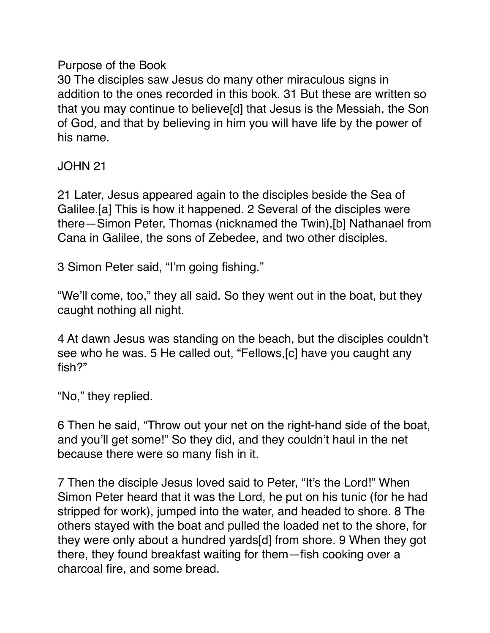## Purpose of the Book

30 The disciples saw Jesus do many other miraculous signs in addition to the ones recorded in this book. 31 But these are written so that you may continue to believe[d] that Jesus is the Messiah, the Son of God, and that by believing in him you will have life by the power of his name.

JOHN 21

21 Later, Jesus appeared again to the disciples beside the Sea of Galilee.[a] This is how it happened. 2 Several of the disciples were there—Simon Peter, Thomas (nicknamed the Twin),[b] Nathanael from Cana in Galilee, the sons of Zebedee, and two other disciples.

3 Simon Peter said, "I'm going fishing."

"We'll come, too," they all said. So they went out in the boat, but they caught nothing all night.

4 At dawn Jesus was standing on the beach, but the disciples couldn't see who he was. 5 He called out, "Fellows,[c] have you caught any fish?"

"No," they replied.

6 Then he said, "Throw out your net on the right-hand side of the boat, and you'll get some!" So they did, and they couldn't haul in the net because there were so many fish in it.

7 Then the disciple Jesus loved said to Peter, "It's the Lord!" When Simon Peter heard that it was the Lord, he put on his tunic (for he had stripped for work), jumped into the water, and headed to shore. 8 The others stayed with the boat and pulled the loaded net to the shore, for they were only about a hundred yards[d] from shore. 9 When they got there, they found breakfast waiting for them—fish cooking over a charcoal fire, and some bread.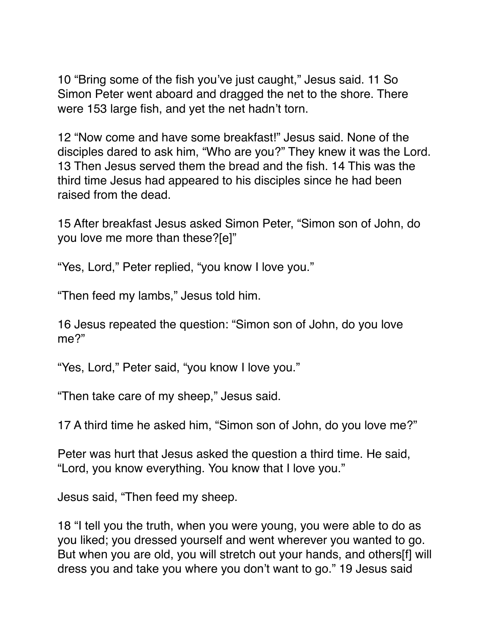10 "Bring some of the fish you've just caught," Jesus said. 11 So Simon Peter went aboard and dragged the net to the shore. There were 153 large fish, and yet the net hadn't torn.

12 "Now come and have some breakfast!" Jesus said. None of the disciples dared to ask him, "Who are you?" They knew it was the Lord. 13 Then Jesus served them the bread and the fish. 14 This was the third time Jesus had appeared to his disciples since he had been raised from the dead.

15 After breakfast Jesus asked Simon Peter, "Simon son of John, do you love me more than these?[e]"

"Yes, Lord," Peter replied, "you know I love you."

"Then feed my lambs," Jesus told him.

16 Jesus repeated the question: "Simon son of John, do you love me?"

"Yes, Lord," Peter said, "you know I love you."

"Then take care of my sheep," Jesus said.

17 A third time he asked him, "Simon son of John, do you love me?"

Peter was hurt that Jesus asked the question a third time. He said, "Lord, you know everything. You know that I love you."

Jesus said, "Then feed my sheep.

18 "I tell you the truth, when you were young, you were able to do as you liked; you dressed yourself and went wherever you wanted to go. But when you are old, you will stretch out your hands, and others[f] will dress you and take you where you don't want to go." 19 Jesus said